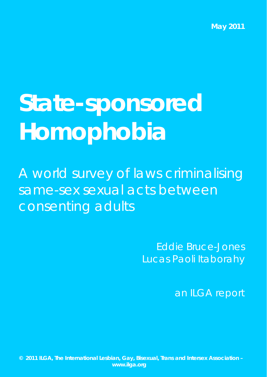**May 2011** 

# **State-sponsored Homophobia**

A world survey of laws criminalising same-sex sexual acts between consenting adults

> Eddie Bruce-Jones Lucas Paoli Itaborahy

> > an ILGA report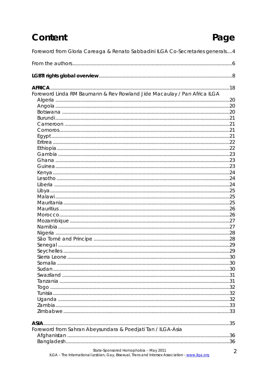### Content

### Page

| Foreword from Gloria Careaga & Renato Sabbadini ILGA Co-Secretaries generals4                                                           |   |
|-----------------------------------------------------------------------------------------------------------------------------------------|---|
|                                                                                                                                         |   |
|                                                                                                                                         |   |
|                                                                                                                                         |   |
| Foreword Linda RM Baumann & Rev Rowland Jide Macaulay / Pan Africa ILGA                                                                 |   |
|                                                                                                                                         |   |
|                                                                                                                                         |   |
|                                                                                                                                         |   |
|                                                                                                                                         |   |
|                                                                                                                                         |   |
|                                                                                                                                         |   |
|                                                                                                                                         |   |
|                                                                                                                                         |   |
|                                                                                                                                         |   |
|                                                                                                                                         |   |
|                                                                                                                                         |   |
|                                                                                                                                         |   |
|                                                                                                                                         |   |
|                                                                                                                                         |   |
|                                                                                                                                         |   |
|                                                                                                                                         |   |
|                                                                                                                                         |   |
|                                                                                                                                         |   |
|                                                                                                                                         |   |
|                                                                                                                                         |   |
|                                                                                                                                         |   |
|                                                                                                                                         |   |
|                                                                                                                                         |   |
|                                                                                                                                         |   |
|                                                                                                                                         |   |
|                                                                                                                                         |   |
|                                                                                                                                         |   |
|                                                                                                                                         |   |
|                                                                                                                                         |   |
|                                                                                                                                         |   |
|                                                                                                                                         |   |
|                                                                                                                                         |   |
|                                                                                                                                         |   |
|                                                                                                                                         |   |
|                                                                                                                                         |   |
| ASIA.                                                                                                                                   |   |
| Foreword from Sahran Abeysundara & Poedjati Tan / ILGA-Asia                                                                             |   |
|                                                                                                                                         |   |
|                                                                                                                                         |   |
| State-Sponsored Homophobia - May 2011<br>ILGA - The International Lesbian, Gay, Bisexual, Trans and Intersex Association - www.ilga.org | 2 |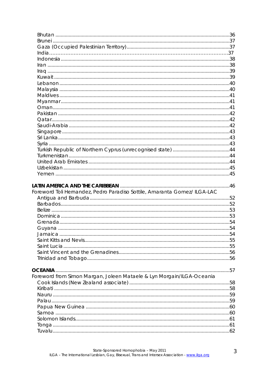| Foreword Toli Hernandez, Pedro Paradiso Sottile, Amaranta Gomez/ ILGA-LAC |  |
|---------------------------------------------------------------------------|--|
|                                                                           |  |
|                                                                           |  |
|                                                                           |  |
|                                                                           |  |
|                                                                           |  |
|                                                                           |  |
|                                                                           |  |
|                                                                           |  |
|                                                                           |  |
|                                                                           |  |
|                                                                           |  |
|                                                                           |  |
|                                                                           |  |
| Foreword from Simon Margan, Joleen Mataele & Lyn Morgain/ILGA-Oceania     |  |
|                                                                           |  |
|                                                                           |  |
|                                                                           |  |
|                                                                           |  |
|                                                                           |  |
|                                                                           |  |
|                                                                           |  |
|                                                                           |  |
|                                                                           |  |
|                                                                           |  |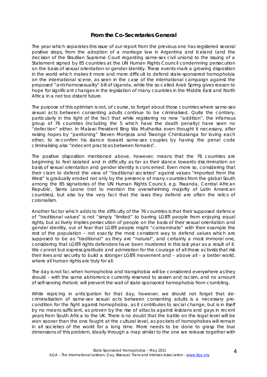### **From the Co-Secretaries General**

The year which separates this issue of our report from the previous one has registered several positive steps, from the adoption of a marriage law in Argentina and Iceland (and the decision of the Brazilian Supreme Court regarding same-sex civil unions) to the issuing of a Statement signed by 85 countries at the UN Human Rights Council condemning persecution on the basis of sexual orientation or gender identity. These events mark a growing disposition in the world which makes it more and more difficult to defend state-sponsored homophobia on the international scene, as seen in the case of the international campaign against the proposed "anti-homosexuality" bill of Uganda, while the so-called Arab Spring gives reason to hope for significant changes in the legislation of many countries in the Middle East and North Africa in a not too distant future.

The purpose of this optimism is not, of course, to forget about those countries where same-sex sexual acts between consenting adults continue to be criminalised. Quite the contrary, particularly in the light of the fact that while registering no new "addition", the infamous group of 76 countries (including the 5 which have the death penalty) have seen no "defection" either. In Malawi President Bing Wa Mutharika even thought it necessary, after raising hopes by "pardoning" Steven Monjeza and Tiwonge Chimbalanga for loving each other, to re-confirm his stance toward same-sex couples by having the penal code criminalising also "indecent practices between females".

The positive disposition mentioned above, however, means that the 76 countries are beginning to feel isolated and in difficulty as far as their stance towards discrimination on basis of sexual orientation and gender identity is concerned. Even more so, considering that their claim to defend the view of "traditional societies" against values "imported from the West" is gradually eroded not only by the presence of many countries from the global South among the 85 signatories of the UN Human Rights Council, e.g. Rwanda, Central African Republic, Sierra Leone (not to mention the overwhelming majority of Latin American countries), but also by the very fact that the laws they defend are often the relics of colonialism.

Another factor which adds to the difficulty of the 76 countries is that their supposed defence of "traditional values" is not "simply "limited" to barring LGBTI people from enjoying equal rights, but actively implies persecution of people on the basis of their sexual orientation and gender identity, out of fear that LGBTI people might "contaminate" with their example the rest of the population – not exactly the most consistent way to defend values which are supposed to be as "traditional" as they are "natural", and certainly a most immoral one, considering that LGBTI rights defenders have been murdered in this last year as a result of it. We cannot but express gratitude and admiration for the courage of all those activists that risk their lives and security to build a stronger LGBTI movement and – above all – a better world, where all human rights are truly for all.

The day is not far, when homophobia and transphobia will be considered everywhere as they should – with the same abhorrence currently reserved to sexism and racism, and no amount of self-serving rhetoric will prevent the wall of state-sponsored homophobia from crumbling.

While rejoicing in anticipation for that day, however, we should not forget that decriminalisation of same-sex sexual acts between consenting adults is a necessary precondition for the fight against homophobia, as it contributes to social change, but is in itself by no means sufficient, as proven by the rise of attacks against lesbians and gays in recent years from South Africa to the UK. There is no doubt that the battle on the legal level will be won sooner than the one fought at the cultural level, as pockets of homophobes will remain in all societies of the world for a long time. More needs to be done to grasp the true dimensions of this problem, ideally through a map similar to the one we release together with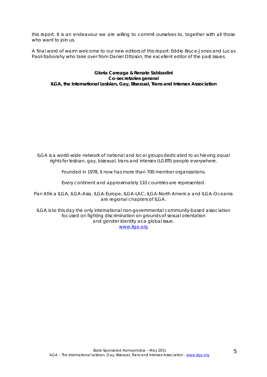this report. It is an endeavour we are willing to commit ourselves to, together with all those who want to join us.

A final word of warm welcome to our new editors of this report: Eddie Bruce-Jones and Lucas Paoli Itaborahy who take over from Daniel Ottoson, the excellent editor of the past issues.

**Gloria Careaga & Renato Sabbadini Co-secretaries general ILGA, the International Lesbian, Gay, Bisexual, Trans and Intersex Association** 

*ILGA is a world-wide network of national and local groups dedicated to achieving equal rights for lesbian, gay, bisexual, trans and intersex (LGBTI) people everywhere.* 

*Founded in 1978, it now has more than 700 member organizations.* 

*Every continent and approximately 110 countries are represented.* 

*Pan Africa ILGA, ILGA-Asia, ILGA-Europe, ILGA-LAC, ILGA-North America and ILGA-Oceania are regional chapters of ILGA.* 

*ILGA is to this day the only international non-governmental community-based association focused on fighting discrimination on grounds of sexual orientation and gender identity as a global issue. www.ilga.org*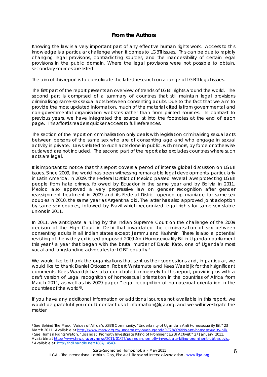### **From the Authors**

Knowing the law is a very important part of any effective human rights work. Access to this knowledge is a particular challenge when it comes to LGBTI issues. This can be due to rapidly changing legal provisions, contradicting sources, and the inaccessibility of certain legal provisions in the public domain. Where the legal provisions were not possible to obtain, secondary sources are listed.

The aim of this report is to consolidate the latest research on a range of LGBTI legal issues.

The first part of the report presents an overview of trends of LGBTI rights around the world. The second part is comprised of a summary of countries that still maintain legal provisions criminalising same-sex sexual acts between consenting adults. Due to the fact that we aim to provide the most updated information, much of the material cited is from governmental and non-governmental organisation websites rather than from printed sources. In contrast to previous years, we have integrated the source list into the footnotes at the end of each page. This affords readers quicker access to full references.

The section of the report on criminalisation only deals with legislation criminalising sexual acts between persons of the same sex who are of consenting age and who engage in sexual activity in private. Laws related to such acts done in public, with minors, by force or otherwise outlawed are not included. The second part of the report also excludes countries where such acts are legal.

It is important to notice that this report covers a period of intense global discussion on LGBTI issues. Since 2009, the world has been witnessing remarkable legal developments, particularly in Latin America. In 2009, the Federal District of Mexico passed several laws protecting LGBTI people from hate crimes, followed by Ecuador in the same year and by Bolivia in 2011. Mexico also approved a very progressive law on gender recognition after gender reassignment treatment in 2009 and its Federal District opened up marriage for same-sex couples in 2010, the same year as Argentina did. The latter has also approved joint adoption by same-sex couples, followed by Brazil which recognized legal rights for same-sex stable unions in 2011.

In 2011, we anticipate a ruling by the Indian Supreme Court on the challenge of the 2009 decision of the High Court in Delhi that invalidated the criminalisation of sex between consenting adults in all Indian states except Jammu and Kashmir. There is also a potential revisiting of the widely criticised proposed 2009 Anti Homosexuality Bill in Ugandan parliament this year,<sup>1</sup> a year that began with the brutal murder of David Kato, one of Uganda's most vocal and longstanding advocates for LGBTI equality.2

We would like to thank the organisations that sent us their suggestions and, in particular, we would like to thank Daniel Ottosson, Robert Wintemute and Kees Waaldijk for their significant comments. Kees Waaldijk has also contributed immensely to this report, providing us with a draft version of *Legal recognition of homosexual orientation in the countries of Africa* from March 2011, as well as his 2009 paper "Legal recognition of homosexual orientation in the countries of the world"3.

If you have any additional information or additional sources not available in this report, we would be grateful if you could contact us at information@ilga.org, and we will investigate the matter.

 $\overline{a}$ 

<sup>1</sup> *See* Behind The Mask: Voices of Africa's LGBTI Community, "Uncertainty of Uganda's Anti Homosexuality Bill," 23 March 2011. Available at http://www.mask.org.za/uncertainty-over-uganda%E2%80%99s-anti-homosexuality-bill/.<br><sup>2</sup> See Human Rights Watch, "Uganda: Promptly Investigate Killing of Prominent LGBT Activist," 27 January 2011. *Available at* http://www.hrw.org/en/news/2011/01/27/uganda-promptly-investigate-killing-prominent-lgbt-activist. 3 Available at: http://hdl.handle.net/1887/14543**.**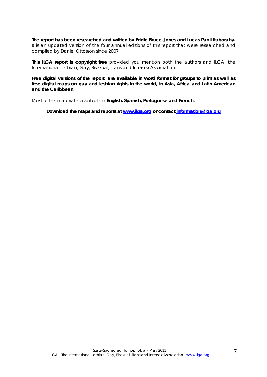**The report has been researched and written by Eddie Bruce-Jones and Lucas Paoli Itaborahy.**  It is an updated version of the four annual editions of this report that were researched and compiled by Daniel Ottosson since 2007.

**This ILGA report is copyright free** provided you mention both the authors and ILGA, the International Lesbian, Gay, Bisexual, Trans and Intersex Association.

**Free digital versions of the report are available in Word format for groups to print as well as free digital maps on gay and lesbian rights in the world, in Asia, Africa and Latin American and the Caribbean.** 

Most of this material is available in **English, Spanish, Portuguese and French.** 

**Download the maps and reports at www.ilga.org or contact information@ilga.org**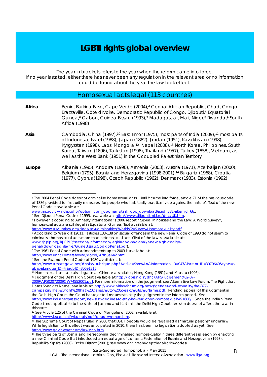### **LGBTI rights global overview**

The year in brackets refers to the year when the reform came into force.

If no year is stated, either there has never been any regulation in the relevant area or no information could be found about the year the law took effect.

### Homosexual acts legal (113 countries)

**Africa** Benin, Burkina Faso, Cape Verde (2004),4 Central African Republic, Chad, Congo-Brazzaville, Côte d'Ivoire, Democratic Republic of Congo, Djibouti,<sup>5</sup> Equatorial Guinea,6 Gabon, Guinea-Bissau (1993),7 Madagascar, Mali, Niger,8 Rwanda,9 South Africa (1998)

Asia **Cambodia, China (1997),<sup>10</sup> East Timor (1975), most parts of India (2009),<sup>11</sup> most parts** of Indonesia, Israel (1988), Japan (1882), Jordan (1951), Kazakhstan (1998), Kyrgyzstan (1998), Laos, Mongolia,12 Nepal (2008),13 North Korea, Philippines, South Korea, Taiwan (1896), Tajikistan (1998), Thailand (1957), Turkey (1858), Vietnam, as well as the West Bank (1951) in the Occupied Palestinian Territory

**Europe** Albania (1995), Andorra (1990), Armenia (2003), Austria (1971), Azerbaijan (2000), Belgium (1795), Bosnia and Herzegovina (1998-2001),<sup>14</sup> Bulgaria (1968), Croatia (1977), Cyprus (1998), Czech Republic (1962), Denmark (1933), Estonia (1992),

www.rjcplp.org/RJCPLP/sections/informacao/legislacao-nacional/anexos/gb-codigo-<br>penal/downloadFile/file/GuineBissau.CodigoPenal.pdf).

 $\overline{a}$ 4 The 2004 Penal Code does not criminalise homosexual acts. Until it came into force, article 71 of the previous code of 1886 provided for 'security measures' for people who habitually practice 'vice against the nature'. Text of the new Penal Code is available at:

www.mj.gov.cv/index.php?option=com\_docman&task=doc\_download&gid=38&&Itemid=66.<br>
<sup>5</sup> See Djibouti Penal Code of 1995, available at: http://www.djibouti.mid.ru/doc/UK.htm.<br>
<sup>6</sup> However, according to Amnesty International's 2

homosexual acts are still illegal in Equatorial Guinea. Text available at:

http://www.asylumlaw.org/docs/sexualminorities/World%20SurveyAlhomosexuality.pdf.<br>7 According to Waaldijk (2011), articles 133-138 on sexual offences in the new Penal Code of 1993 do not seem to criminalise homosexual acts more than heterosexual acts (Text of the law is available at:

<sup>&</sup>lt;sup>8</sup> The 1961 Penal Code with admendments up to 2003 is availabe at:

http://www.unhcr.org/refworld/docid/47fb8e642.html.<br>9 See the Rwanda Penal Code of 1980 available at:

http://www.amategeko.net/display\_rubrique.php?ActDo=ShowArt&Information\_ID=947&Parent\_ID=3070640&type=p<br>ublic&Lanque\_ID=Fr&rubID=30691315.

<sup>&</sup>lt;sup>10</sup> Homosexual acts are also legal in all Chinese associates; Hong Kong (1991) and Macau (1996). <sup>11</sup> Judgment of the Delhi High Court available at http://lobis.nic.in/dhc/APS/judgement/02-07-

<sup>2009/</sup>APS02072009CW74552001.pdf. For more information on the judgment, see Alternative Law Forum, The Right that Dares Speak its Name, available at: http://www.altlawforum.org/news/gender-and-sexuality/the-377-

campaign/The%20right%20that%20Dares%20to%20Speak%20its%20Name.pdf. Pending appeal of this judgment in the Delhi High Court, the Court has rejected requests to stay the judgment in the interim period. See

http://www.indianexpress.com/news/sc-declines-to-stay-hc-verdict-on-homosexual/491686/. Since the Indian Penal Code is not applicable to the state of Jammu and Kashmir, the Delhi High Court decision does not affect the laws in this state.

<sup>12</sup> See Article 125 of the Criminal Code of Mongolia of 2002, available at:

http://www.lexadin.nl/wlg/legis/nofr/oeur/lxwemon.htm.<br><sup>13</sup> The Supreme Court of Nepal ruled in 2008 that LGBTI people would be regarded as "natural persons" under law. While legislation to this effect was anticipated in 2010, there has been no legislation adopted as yet. See http://www.gaylawnet.com/laws/np.htm.<br><sup>14</sup> The three parts of Bosnia and Herzegovina decriminalised homosexuality in three different years, each by enacting

a new Criminal Code that introduced an equal age of consent: Federation of Bosnia and Herzegovina (1998), Republika Srpska (2000), Brcko District (2001); see www.ohr.int/ohr-dept/legal/crim-codes/.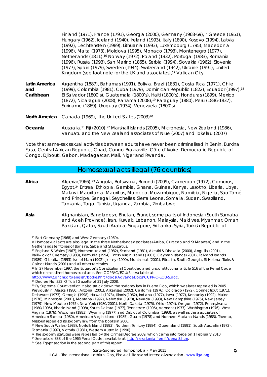|               | Finland (1971), France (1791), Georgia (2000), Germany (1968-69), <sup>15</sup> Greece (1951), |
|---------------|------------------------------------------------------------------------------------------------|
|               | Hungary (1962), Iceland (1940), Ireland (1993), Italy (1890), Kosovo (1994), Latvia            |
|               | (1992), Liechtenstein (1989), Lithuania (1993), Luxembourg (1795), Macedonia                   |
|               | (1996), Malta (1973), Moldova (1995), Monaco (1793), Montenegro (1977),                        |
|               | Netherlands (1811), <sup>16</sup> Norway (1972), Poland (1932), Portugal (1983), Romania       |
|               | (1996), Russia (1993), San Marino (1865), Serbia (1994), Slovakia (1962), Slovenia             |
|               | (1977), Spain (1979), Sweden (1944), Switzerland (1942), Ukraine (1991), United                |
|               | Kingdom (see foot note for the UK and associates), <sup>17</sup> Vatican City                  |
| Latin America | Argentina (1887), Bahamas (1991), Bolivia, Brazil (1831), Costa Rica (1971), Chile             |
| and           | (1999), Colombia (1981), Cuba (1979), Dominican Republic (1822), Ecuador (1997), 18            |
| Caribbean     | El Salvador (1800's), Guatemala (1800's), Haiti (1800's), Honduras (1899), Mexico              |

- **and**  Car (1872), Nicaragua (2008), Panama (2008),19 Paraguay (1880), Peru (1836-1837), Suriname (1869), Uruguay (1934), Venezuela (1800's)
- **North America** Canada (1969), the United States (2003)20
- **Oceania** Australia,21 Fiji (2010),22 Marshall Islands (2005), Micronesia, New Zealand (1986), Vanuatu and the New Zealand associates of Niue (2007) and Tokelau (2007)

Note that same-sex sexual activities between adults have never been criminalised in Benin, Burkina Faso, Central African Republic, Chad, Congo-Brazzaville, Côte d'Ivoire, Democratic Republic of Congo, Djibouti, Gabon, Madagascar, Mali, Niger and Rwanda.

### Homosexual acts illegal (76 countries)

**Africa** Algeria(1966),23 Angola, Botswana, Burundi (2009), Cameroon (1972), Comoros, Egypt,24 Eritrea, Ethiopia, Gambia, Ghana, Guinea, Kenya, Lesotho, Liberia, Libya, Malawi, Mauritania, Mauritius, Morocco, Mozambique, Namibia, Nigeria, São Tomé and Principe, Senegal, Seychelles, Sierra Leone, Somalia, Sudan, Swaziland, Tanzania, Togo, Tunisia, Uganda, Zambia, Zimbabwe

**Asia** Afghanistan, Bangladesh, Bhutan, Brunei, some parts of Indonesia (South Sumatra and Aceh Province), Iran, Kuwait, Lebanon, Malaysia, Maldives, Myanmar, Oman, Pakistan, Qatar, Saudi Arabia, Singapore, Sri Lanka, Syria, Turkish Republic of

 $\overline{a}$ 

http://www2.ohchr.org/english/bodies/hrc/docs/AdvanceDocs/CCPR-C-ECU-5.doc. 19 Decree No. 332, Official Gazette of 31 July 2008.

<sup>15</sup> East Germany (1968) and West Germany (1969).

<sup>16</sup> Homosexual acts are also legal in the three Netherlands associates (Aruba, Curaçao and St Maarten) and in the Netherlands territories of Bonaire, Saba and St Eustatius.

<sup>17</sup> England & Wales (1967), Northern Ireland (1982), Scotland (1981), Akrotiri & Dhekelia (2000), Anguilla (2001), Bailiwick of Guernsey (1983), Bermuda (1994), British Virgin Islands (2001), Cayman Islands (2001), Falkland Islands (1989), Gibraltar (1993), Isle of Man (1992), Jersey (1990), Montserrat (2001), Pitcairn, South Georgia, St Helena, Turks & Caicos Islands (2001) and all other territories.

<sup>18</sup> In 27 November 1997, the Ecuador's Constitutional Court declared unconstitutional article 516 of the Penal Code which criminalized homosexual acts. See CCPR/C/ECU/5, available at:

<sup>20</sup> By Supreme Court verdict. It also struck down the sodomy law in Puerto Rico, which was later repealed in 2005. Previously in: Alaska (1980), Arizona (2001), Arkansas (2002), California (1976), Colorado (1972), Connecticut (1971), Delaware (1973), Georgia (1998), Hawaii (1973), Illinois (1962), Indiana (1977), Iowa (1977), Kentucky (1992), Maine (1976), Minnesota (2001), Montana (1997), Nebraska (1978), Nevada (1993), New Hampshire (1975), New Jersey (1979), New Mexico (1975), New York (1980/2001), North Dakota (1975), Ohio (1974), Oregon (1972), Pennsylvania (1980/1995), Rhode Island (1998), South Dakota (1977), Tennessee (1996), Vermont (1977), Washington (1976), West Virginia (1976), Wisconsin (1983), Wyoming (1977) and District of Columbia (1993), as well as the associates of American Samoa (1980), American Virgin Islands (1985), Guam (1978) and Northern Mariana Islands (1983). Thereto, Missouri repealed its sodomy law from the books in 2006.

<sup>21</sup> New South Wales (1983), Norfolk Island (1993), Northern Territory (1984), Queensland (1991), South Australia (1972), Tasmania (1997), Victoria (1981), Western Australia (1990).

 $^{22}$  The sodomy statutes were repealed by the Crimes Decree 2009, which came into force on 1 February 2010.

<sup>&</sup>lt;sup>23</sup> See article 338 of the 1965 Penal Code, available at: http://lexalgeria.free.fr/penal3.htm. <sup>24</sup> See Egypt section in the second part of this report.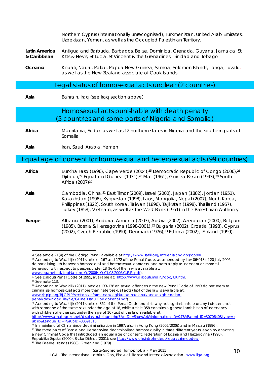|                              | Northern Cyprus (internationally unrecognised), Turkmenistan, United Arab Emirates,<br>Uzbekistan, Yemen, as well as the Occupied Palestinian Territory.                                                                                                                                                                                              |
|------------------------------|-------------------------------------------------------------------------------------------------------------------------------------------------------------------------------------------------------------------------------------------------------------------------------------------------------------------------------------------------------|
| Latin America<br>& Caribbean | Antigua and Barbuda, Barbados, Belize, Dominica, Grenada, Guyana, Jamaica, St<br>Kitts & Nevis, St Lucia, St Vincent & the Grenadines, Trinidad and Tobago                                                                                                                                                                                            |
| Oceania                      | Kiribati, Nauru, Palau, Papua New Guinea, Samoa, Solomon Islands, Tonga, Tuvalu,<br>as well as the New Zealand associate of Cook Islands                                                                                                                                                                                                              |
|                              | Legal status of homosexual acts unclear (2 countries)                                                                                                                                                                                                                                                                                                 |
| Asia                         | Bahrain, Iraq (see Iraq section above)                                                                                                                                                                                                                                                                                                                |
|                              | Homosexual acts punishable with death penalty<br>(5 countries and some parts of Nigeria and Somalia)                                                                                                                                                                                                                                                  |
| Africa                       | Mauritania, Sudan as well as 12 northern states in Nigeria and the southern parts of<br>Somalia                                                                                                                                                                                                                                                       |
| Asia                         | Iran, Saudi Arabia, Yemen                                                                                                                                                                                                                                                                                                                             |
|                              | Equal age of consent for homosexual and heterosexual acts (99 countries)                                                                                                                                                                                                                                                                              |
| Africa                       | Burkina Faso (1996), Cape Verde (2004), <sup>25</sup> Democratic Republic of Congo (2006), <sup>26</sup><br>Djibouti, <sup>27</sup> Equatorial Guinea (1931), <sup>28</sup> Mali (1961), Guinea-Bissau (1993), <sup>29</sup> South<br>Africa (2007) <sup>30</sup>                                                                                     |
| Asia                         | Cambodia, China, 31 East Timor (2009), Israel (2000), Japan (1882), Jordan (1951),<br>Kazakhstan (1998), Kyrgyzstan (1998), Laos, Mongolia, Nepal (2007), North Korea,<br>Philippines (1822), South Korea, Taiwan (1896), Tajikistan (1998), Thailand (1957),<br>Turkey (1858), Vietnam, as well as the West Bank (1951) in the Palestinian Authority |
| Europe                       | Albania (2001), Andorra, Armenia (2003), Austria (2002), Azerbaijan (2000), Belgium<br>(1985), Bosnia & Herzegovina (1998-2001), <sup>32</sup> Bulgaria (2002), Croatia (1998), Cyprus<br>(2002), Czech Republic (1990), Denmark (1976), 33 Estonia (2002), Finland (1999),                                                                           |
|                              |                                                                                                                                                                                                                                                                                                                                                       |

http://www.amategeko.net/display\_rubrique.php?ActDo=ShowArt&Information\_ID=947&Parent\_ID=3070640&type=p<br>ublic&Langue\_ID=Fr&rubID=30691315

<sup>&</sup>lt;sup>25</sup> See article 71(4) of the Código Penal, available at http://www.saflii.org/mz/legis/codigos/cp90/.<br><sup>26</sup> According to Waaldijk (2011), articles 167 and 172 of the Penal Code, as amended by law 06/018 of 20 July 2006,

do not distinguish between homosexual and heterosexual contacts, and both apply to indecent or immoral behaviour with respect to persons under 18 (text of the law is available at:<br>www.leganet.cd/Legislation/JO/2006/JO.01.08.2006.C.P.P..pdf).

www.djibouti Penal Code of 1995, available at: http://www.djibouti.mid.ru/doc/UK.htm.<br><sup>28</sup> See Dibouti Penal Code of 1995, available at: http://www.djibouti.mid.ru/doc/UK.htm.

<sup>29</sup> According to Waaldijk (2011), articles 133-138 on sexual offences in the new Penal Code of 1993 do not seem to criminalise homosexual acts more than heterosexual acts (Text of the law is available at: www.rjcplp.org/RJCPLP/sections/informacao/legislacao-nacional/anexos/gb-codigo-<br>penal/downloadFile/file/GuineBissau.CodigoPenal.pdf).

and and an annual mannum community. The penal Code prohibits any act against nature or any indecent act and According to Waaldijk (2011), article 362 of the Penal Code prohibits any act against nature or any indecent act with someone of the same sex under the age of 18, while article 358 contains a general prohibition of indecency with children of either sex under the age of 16 (text of the law available at:

 $\frac{31}{10}$  In mainland of China since decriminalisation in 1997; also in Hong Kong (2005/2006) and in Macau (1996).<br> $\frac{32}{10}$  The three parts of Bosnia and Herzegovina decriminalised homosexuality in three different ye

a new Criminal Code that introduced an equal age of consent: Federation of Bosnia and Herzegovina (1998), Republika Srpska (2000), Brcko District (2001); see http://www.ohr.int/ohr-dept/legal/crim-codes/<br><sup>33</sup> The Faeroe Islands (1988), Greenland (1979).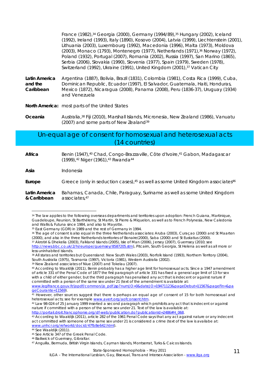France (1982),<sup>34</sup> Georgia (2000), Germany (1994/89),<sup>35</sup> Hungary (2002), Iceland (1992), Ireland (1993), Italy (1890), Kosovo (2004), Latvia (1999), Liechtenstein (2001), Lithuania (2003), Luxembourg (1992), Macedonia (1996), Malta (1973), Moldova (2003), Monaco (1793), Montenegro (1977), Netherlands (1971),36 Norway (1972), Poland (1932), Portugal (2007), Romania (2002), Russia (1997), San Marino (1865), Serbia (2006), Slovakia (1990), Slovenia (1977), Spain (1979), Sweden (1978), Switzerland (1992), Ukraine (1991), United Kingdom (2001), 37 Vatican City

**Latin America and the Caribbean**  Argentina (1887), Bolivia, Brazil (1831), Colombia (1981), Costa Rica (1999), Cuba, Dominican Republic, Ecuador (1997), El Salvador, Guatemala, Haiti, Honduras, Mexico (1872), Nicaragua (2008), Panama (2008), Peru (1836-37), Uruguay (1934) and Venezuela

**North America:** most parts of the United States

**Oceania** Australia,38 Fiji (2010), Marshall Islands, Micronesia, New Zealand (1986), Vanuatu (2007) and some parts of New Zealand<sup>39</sup>

### Un-equal age of consent for homosexual and heterosexual acts (14 countries)

Africa Benin (1947),<sup>40</sup> Chad, Congo-Brazzaville, Côte d'Ivoire,<sup>41</sup> Gabon, Madagascar (1999),42 Niger (1961),43 Rwanda44

**Asia** Indonesia

 $\overline{a}$ 

**Europe** Greece (only in seduction cases),<sup>45</sup> as well as some United Kingdom associates<sup>46</sup>

**Latin America & Caribbean**  Bahamas, Canada, Chile, Paraguay, Suriname as well as some United Kingdom associates,47

<sup>34</sup> The law applies to the following overseas departments and territories upon adoption: French Guiana, Martinique, Guadeloupe, Reunion, St Barthélemy, St Martin, St Pierre & Miquelon, as well as to French Polynesia, New Caledonia and Wallis & Futuna since 1984, and also to Mayotte.

<sup>35</sup> East Germany (GDR) in 1989 and the rest of Germany in 1994.

<sup>36</sup> The age of consent is also equal in the three Netherlands associates: Aruba (2003), Curaçao (2000) and St Maarten (2000), and also in the three Netherlands territories of Bonaire(2000), Saba (2000) and St Eustatius (200

<sup>&</sup>lt;sup>37</sup> Akrotiri & Dhekelia (2003), Falkland Islands (2005), Isle of Man (2006), Jersey (2007), Guernsey (2010; see http://news.bbc.co.uk/2/hi/europe/guernsey/8587205.stm), Pitcairn, South Georgia, St Helena as well as all more or less uninhabited islands.

<sup>38</sup> All states and territories but Queensland: New South Wales (2003), Norfolk Island (1993), Northern Territory (2004), South Australia (1975), Tasmania (1997), Victoria (1981), Western Australia (2002).

<sup>39</sup> New Zealand associates of Niue (2007) and Tokelau (2007).

<sup>40</sup> According to Waaldijk (2011), Benin probably has a higher age limit for homosexual acts. Since a 1947 amendment of article 331 of the Penal Code of 1877 the first paragraph of article 331 has fixed a general age limit of 13 for sex with a child of either gender, but the third paragraph has penalised any act that is indecent or against nature if committed with a person of the same sex under 21 (text of the amendment is available at: www.legifrance.gouv.fr/jopdf/common/jo\_pdf.jsp?numJO=0&dateJO=19471123&pageDebut=11567&pageFin=&pa

geCourante=11569).<br><sup>41</sup> However, other sources suggest that there is perhaps an equal age of consent of 15 for both homosexual and

heterosexual acts; see for example www.avert.org/aofconsent.htm.<br><sup>42</sup> Law 98-024 of 25 January 1999 inserted a second paragraph which prohibits any act that is indecent or against nature if committed with a person of the same sex under 21. Text of the law is available at:<br>http://portail.droit.francophonie.org/df-web/publication.do?publicationId=2486#H\_068.

 $\frac{43}{2}$  According to Waaldijk (2011), article 282 of the 1961 Penal Code says that any act against nature or any indecent act committed with someone of the same sex under 21 is considered a crime (text of the law is availabe at: www.unhcr.org/refworld/docid/47fb8e642.html).<br><sup>44</sup> See Waaldijk (2011).

<sup>45</sup> See Article 347 of the Greek Penal Code.

<sup>46</sup> Bailiwick of Guernsey, Gibraltar.

<sup>47</sup> Anguilla, Bermuda, British Virgin Islands, Cayman Islands, Montserrat, Turks & Caicos Islands.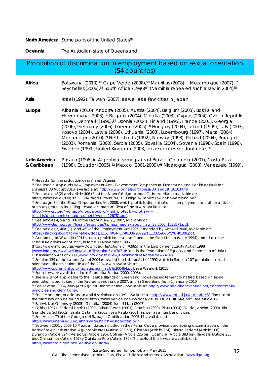#### **North America:** Some parts of the United States<sup>48</sup>

**Oceania** The Australian state of Queensland

### Prohibition of discrimination in employment based on sexual orientation (54 countries)

| Africa | Botswana (2010), <sup>49</sup> Cape Verde (2008), <sup>50</sup> Mauritius (2008), <sup>51</sup> Mozambique (2007), <sup>52</sup><br>Seychelles (2006), <sup>53</sup> South Africa (1996) <sup>54</sup> (Namibia repealed such a law in 2004) <sup>55</sup>                                                                                                                                                                                                                                                                                                                                                                                                                                                                                            |
|--------|-------------------------------------------------------------------------------------------------------------------------------------------------------------------------------------------------------------------------------------------------------------------------------------------------------------------------------------------------------------------------------------------------------------------------------------------------------------------------------------------------------------------------------------------------------------------------------------------------------------------------------------------------------------------------------------------------------------------------------------------------------|
| Asia   | Israel (1992), Taiwan (2007), as well as a few cities in Japan                                                                                                                                                                                                                                                                                                                                                                                                                                                                                                                                                                                                                                                                                        |
| Europe | Albania (2010), Andorra (2005), Austria (2004), Belgium (2003), Bosnia and<br>Herzegovina (2003), <sup>56</sup> Bulgaria (2004), Croatia (2003), Cyprus (2004), Czech Republic<br>(1999), Denmark (1996), <sup>57</sup> Estonia (2004), Finland (1995), France (2001), Georgia<br>(2006), Germany (2006), Greece (2005), <sup>58</sup> Hungary (2004), Ireland (1999), Italy (2003),<br>Kosovo (2004), Latvia (2006), Lithuania (2003), Luxembourg (1997), Malta (2004),<br>Montenegro (2010), <sup>59</sup> Netherlands (1992), Norway (1998), Poland (2004), Portugal<br>(2003), Romania (2000), Serbia (2005), Slovakia (2004), Slovenia (1998), Spain (1996),<br>Sweden (1999), United Kingdom (2003, for associates see foot note) <sup>60</sup> |

#### **Latin America & Caribbean**  Rosario (1996) in Argentina, some parts of Brazil,<sup>61</sup> Colombia (2007), Costa Rica (1998), Ecuador (2005),<sup>62</sup> Mexico (2001-2009),<sup>63</sup> Nicaragua (2008), Venezuela (1999),

Dismissal, 30 August 2010, available at: http://www.bonela.org/press/30\_august\_2010.html 50 See article 45(2) and article 406 (3) of the *Novo Código Laboral Cabo-Verdiano* available at:

http://www.ine.cv/Legisla%C3%A7ao/Outras/C%C3%B3digo%20laboral%20cabo-verdiano.pdf.

http://www.ilo.org/wcmsp5/groups/public/---ed\_protect/---protrav/---<br>ilo\_aids/documents/legaldocument/wcms\_126781.pdf.

 $\overline{a}$ 48 Nevada (only in seduction cases) and Virginia.

<sup>49</sup> See Bonela Applauds New Employment Act – Government Scraps Sexual Orientation and Health as Basis for

<sup>51</sup> See page 8 of the Equal Opportunities Act 2008, which prohibits discrimination in employment and other activities on many grounds, including 'sexual orientation'. Text of the law is available at:

<sup>52</sup> See articles 4, 5 and 108 of the Labour Law 23/2007, available at:

http://www.tipmoz.com/library/resources/tipmoz\_media/labour\_law\_23-2007\_1533E71.pdf.<br><sup>53</sup> See articles 2, 46A (1) and 46B of the Employment Act 1995, amended by Act 4 of 2006, available at:<br>https://staging.ilo.org/dyn/natl

<sup>&</sup>lt;sup>54</sup> According to Waaldijk (2011), such a prohibition can be found in the Constitution (since 1994) and also in the Labour Relations Act of 1995, in force 11 November 1996

<sup>(</sup>http://www.info.gov.za/view/DownloadFileAction?id=70985); in the Employment Equity Act of 1998 (www.info.gov.za/view/DownloadFileAction?id=70714; and in the Promotion of Equality and Prevention of Unfair<br>Discrimination Act of 2000 (www.info.gov.za/view/DownloadFileAction?id=68207).

<sup>&</sup>lt;sup>55</sup> Section 139 of the Labour Act of 2004 repealed the Labour Act of 1992 which in Section 107 prohibited sexual orientation discrimination. Text of the 2004 law is available at:

http://www.commonlii.org/na/legis/num\_act/la200484.pdf; see Waaldijk (2011).<br><sup>56</sup> Such laws are available also in Republika Srpska (2000, 2003).

<sup>57</sup> The law is not applicable to the Faeroe Islands or Greenland. However, incitement to hatred based on sexual orientation is prohibited in the Faeroe Islands since 2007, and in Greenland from 1 January 2010.

<sup>58</sup> See Law no. 3304/2005 (Act Against Discrimination), available at: http://www.non-discrimination.net/content/mainprinciples-and-definitions-6<br><sup>59</sup> See "Montenegro adopts an anti-discrimination law", available at: http://www.equal-jus.eu/node/38. The text of

the draft law can be found here: http://www.venice.coe.int/docs/2010/CDL(2010)024-e.pdf, see article 19. 60 Bailiwick of Guernsey (2005), Gibraltar (2004), Isle of Man (2007).

<sup>61</sup> Bahia (1997), Federal District (2000), Minas Gerais (2001), Paraíba (2003), Piauí (2004), Rio de Janeiro (2000), Rio Grande do Sul (2002), Santa Catarina (2003), São Paulo (2001) as well as a number of cities.

<sup>62</sup> See Article 79 of the *Código del Trabajo , Codificación 2005-17*, available at:<br>http://www.unemi.edu.ec/rrhh/images/archivos/codtrab.pdf.

 $\frac{1}{63}$  Between 2001 y 2009 10 Mexican states included in their Penal Code provisions prohibiting discrimination on the basis of sexual orientation: Aguascalientes (Article 205 bis), Chiapas (Article 324), Distrito Federal (Article 206), Durango (Article 324), Veracruz (Article 196), Colima (Article 225 bis), Coahuila (Article 383 bis), Tlaxcala (Article 255 bis), Chihuahua (Article 197) y Quintana Roo (Article 132). The texts of the laws are available at: http://www2.scjn.gob.mx/LegislacionEstatal/.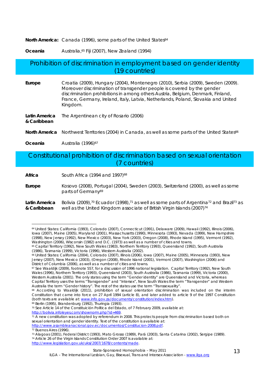**North America:** Canada (1996), some parts of the United States<sup>64</sup>

**Oceania** Australia,<sup>65</sup> Fiji (2007), New Zealand (1994)

### Prohibition of discrimination in employment based on gender identity (19 countries)

**Europe** Croatia (2009), Hungary (2004), Montenegro (2010), Serbia (2009), Sweden (2009). Moreover discrimination of transgender people is covered by the gender discrimination prohibitions in among others Austria, Belgium, Denmark, Finland, France, Germany, Ireland, Italy, Latvia, Netherlands, Poland, Slovakia and United Kingdom.

| Latin America | The Argentinean city of Rosario (2006) |
|---------------|----------------------------------------|
| & Caribbean   |                                        |

North America Northwest Territories (2004) in Canada, as well as some parts of the United States<sup>66</sup>

**Oceania Australia (1996)<sup>67</sup>** 

 $\overline{a}$ 

### Constitutional prohibition of discrimination based on sexual orientation (7 countries)

Africa **South Africa (1994 and 1997)<sup>68</sup>** 

**Europe** Kosovo (2008), Portugal (2004), Sweden (2003), Switzerland (2000), as well as some parts of Germany<sup>69</sup>

**Latin America & Caribbean**  Bolivia (2009),<sup>70</sup> Ecuador (1998),<sup>71</sup> as well as some parts of Argentina<sup>72</sup> and Brazil<sup>73</sup> as well as the United Kingdom associate of British Virgin Islands (2007)<sup>74</sup>

http://www.asambleanacional.gov.ec/documentos/Constitucion-2008.pdf. 72 Buenos Aires (1996).

<sup>64</sup> United States: California (1993), Colorado (2007), Connecticut (1991), Delaware (2009), Hawaii (1992), Illinois (2006), Iowa (2007), Maine (2005), Maryland (2001), Massachusetts (1990), Minnesota (1993), Nevada (1999), New Hampshire (1998), New Jersey (1992), New Mexico (2003), New York (2003), Oregon (2008), Rhode Island (1995), Vermont (1992), Washington (2006), Wisconsin (1982) and D.C. (1973) as well as a number of cities and towns.

<sup>65</sup> Capital Territory (1992), New South Wales (1983), Northern Territory (1993), Queensland (1992), South Australia (1986), Tasmania (1999), Victoria (1996), Western Australia (2002).

<sup>66</sup> United States: California (2004), Colorado (2007), Illinois (2006), Iowa (2007), Maine (2005), Minnesota (1993), New Jersey (2007), New Mexico (2003), (Oregon (2008), Rhode Island (2001), Vermont (2007), Washington (2006) and District of Columbia (2006), as well as a number of cities and towns.

<sup>67</sup> See Waaldijk (2009), footnote 557, for a discussion of 1996 national legislation. Capital Territory (1992), New South Wales (1996), Northern Territory (1993), Queensland (2003), South Australia (1986), Tasmania (1999), Victoria (2000), Western Australia (2001). The only states using the term "Gender identity" are Queensland and Victoria, whereas Capital Territory uses the terms "Transgender" and "Intersex", New South Wales the term "Transgender" and Western Australia the term "Gender history". The rest of the states use the term "Transsexuality".

<sup>68</sup> According to Waaldijk (2011), prohibition of sexual orientation discrimination was included on the interim Constitution that came into force on 27 April 1994 (article 8), and later added to article 9 of the 1997 Constitution (both texts are available at: www.info.gov.za/documents/constitution/index.htm).<br><sup>69</sup> Berlin (1995), Brandenburg (1992), Thuringia (1993).

<sup>70</sup> See Article 14 of the *Constituición Política del Estado*, of 7 February 2009, available at:

 $\frac{1}{11}$  A new constitution was adopted by referendum in 2008. This protects people from discrimination based both on sexual orientation and gender identity. Text of the constitution is available at:

<sup>73</sup> Alagoas (2001), Federal District (1993), Mato Grosso (1989), Pará (2003), Santa Catarina (2002), Sergipe (1989). 74 Article 26 of the Virgin Islands Constitution Order 2007 is available at: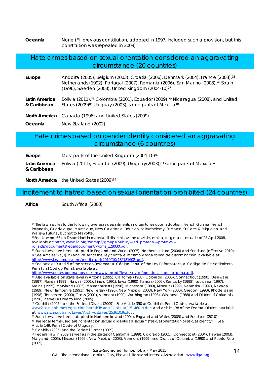**Oceania** None (Fiji previous constitution, adopted in 1997, included such a provision, but this constitution was repealed in 2009)

### Hate crimes based on sexual orientation considered an aggravating circumstance (20 countries)

- **Europe** Andorra (2005), Belgium (2003), Croatia (2006), Denmark (2004), France (2003),75 Netherlands (1992), Portugal (2007), Romania (2006), San Marino (2008),76 Spain (1996), Sweden (2003), United Kingdom (2004-10)77
- **Latin America & Caribbean**  Bolivia (2011),78 Colombia (2001), Ecuador (2009),79 Nicaragua (2008), and United States (2009)<sup>80</sup> Uruguay (2003), some parts of Mexico 81
- **North America** Canada (1996) and United States (2009)
- **Oceania** New Zealand (2002)

### Hate crimes based on gender identity considered an aggravating circumstance (6 countries)

**Europe** Most parts of the United Kingdom (2004-10)<sup>82</sup> **Latin America & Caribbean**  Bolivia (2011), Ecuador (2009), Uruguay(2003), $83$  some parts of Mexico $84$ 

**North America** the United States (2009)<sup>85</sup>

### Incitement to hatred based on sexual orientation prohibited (24 countries)

**Africa** South Africa (2000)

 $\overline{a}$ 

<sup>75</sup> The law applies to the following overseas departments and territories upon adoption: French Guiana, French Polynesia, Guadeloupe, Martinique, New Caledonia, Réunion, St Barthélemy, St Martin, St Pierre & Miquelon and Wallis & Futuna, but not to Mayotte.

<sup>76</sup>See Law no. 66 on *Disposizioni in materia di discriminazione razziale, etnica, religiosa e sessuale* of 28 April 2008, available at: http://www.ilo.org/wcmsp5/groups/public/---ed\_protect/---protrav/---<br>ilo aids/documents/legaldocument/wcms 128030.pdf.

 $\frac{1}{18}$  Such laws have been adopted in England and Wales (2005), Northern Ireland (2004) and Scotland (effective 2010).<br><sup>78</sup> See Articles 5(a, g, h) and 281ter of the *Ley contra el racismo y toda forma de discriminaci* 

<sup>&</sup>lt;sup>19</sup> See articles 3 and 5 of the section *Reformas al Código Penal* of the *Ley Reformatoria Al Codigo de Procedimiento Penal y al Codigo Penal*, available at:

<sup>&</sup>lt;sup>80</sup> Also available on state level in Arizona (1995), California (1988), Colorado (2005), Connecticut (1990), Delaware (1997), Florida (1991), Hawaii (2001), Illinois (1991), Iowa (1990), Kansas (2002), Kentucky (1998), Louisiana (1997), Maine (1995), Maryland (2005), Massachusetts (1996), Minnesota (1989), Missouri (1999), Nebraska (1997), Nevada (1989), New Hampshire (1991), New Jersey (1990), New Mexico (2003), New York (2000), Oregon (1990), Rhode Island (1998), Tennessee (2000), Texas (2001), Vermont (1990), Washington (1993), Wisconsin (1988) and District of Columbia (1990), as well as Puerto Rico (2005).

<sup>81</sup> Coahila (2005) and the Federal District (2009). See Article 350 of Coahila's Penal Code, available at: www2.scjn.gob.mx/LegislacionEstatal/Textos/Coahuila/15146019.doc and article 138 of the Federal District*,* available a*t:* www2.scjn.gob.mx/Leyes/ArchivosLeyes/25361036.doc.

<sup>82</sup> Such laws have been adopted in Northern Ireland (2004), England and Wales (2005) and Scotland (2010).

<sup>83</sup> The legal terms used are "*orientación sexual o identidad sexual*" ("sexual orientation or sexual identity"). See Article 149, Penal Code of Uruguay.

<sup>84</sup> Coahila (2005) and the Federal District (2009).

<sup>85</sup> Federal law in 2009 as well as in the states of California (1999), Colorado (2005), Connecticut (2004), Hawaii (2003), Maryland (2005), Missouri (1999), New Mexico (2003), Vermont (1999) and District of Columbia (1990) and Puerto Rico (2005).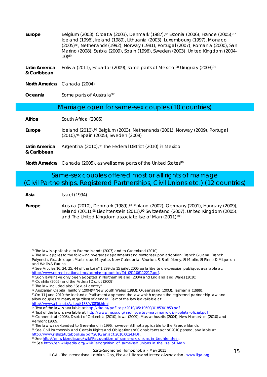| Europe                                            | Belgium (2003), Croatia (2003), Denmark (1987), <sup>86</sup> Estonia (2006), France (2005), <sup>87</sup><br>Iceland (1996), Ireland (1989), Lithuania (2003), Luxembourg (1997), Monaco<br>(2005) <sup>88</sup> , Netherlands (1992), Norway (1981), Portugal (2007), Romania (2000), San<br>Marino (2008), Serbia (2009), Spain (1996), Sweden (2003), United Kingdom (2004-<br>10)89 |
|---------------------------------------------------|------------------------------------------------------------------------------------------------------------------------------------------------------------------------------------------------------------------------------------------------------------------------------------------------------------------------------------------------------------------------------------------|
| Latin America<br>& Caribbean                      | Bolivia (2011), Ecuador (2009), some parts of Mexico, <sup>90</sup> Uruguay (2003) <sup>91</sup>                                                                                                                                                                                                                                                                                         |
|                                                   | North America Canada (2004)                                                                                                                                                                                                                                                                                                                                                              |
| Oceania                                           | Some parts of Australia <sup>92</sup>                                                                                                                                                                                                                                                                                                                                                    |
| Marriage open for same-sex couples (10 countries) |                                                                                                                                                                                                                                                                                                                                                                                          |
| Africa                                            | South Africa (2006)                                                                                                                                                                                                                                                                                                                                                                      |
| Europe                                            | Iceland (2010), <sup>93</sup> Belgium (2003), Netherlands (2001), Norway (2009), Portugal<br>(2010), <sup>94</sup> Spain (2005), Sweden (2009)                                                                                                                                                                                                                                           |
| Latin America<br>& Caribbean                      | Argentina (2010), <sup>95</sup> The Federal District (2010) in Mexico                                                                                                                                                                                                                                                                                                                    |
|                                                   | North America Canada (2005), as well some parts of the United States <sup>96</sup>                                                                                                                                                                                                                                                                                                       |

Same-sex couples offered most or all rights of marriage (Civil Partnerships, Registered Partnerships, Civil Unions etc.) (12 countries)

**Asia** Israel (1994)

 $\overline{a}$ 

**Europe** Austria (2010), Denmark (1989),97 Finland (2002), Germany (2001), Hungary (2009), Ireland (2011),98 Liechtenstein (2011),99 Switzerland (2007), United Kingdom (2005), and The United Kingdom associate Isle of Man (2011)<sup>100</sup>

allow couples to marry regardless of gende<sup>r.</sup> Text of the law is available at:

http://www.althingi.is/altext/138/s/0836.html.<br><sup>94</sup> Text of the law is available at http://dre.pt/pdf1sdip/2010/05/10500/0185301853.pdf.

% Text of the law is available at: http://www.nexo.org/archivos/Ley-matrimonio-civil-boletin-oficial.pdf<br>% Connecticut (2008), District of Columbia (2010), Jowa (2009), Massachusetts (2004), New Hampshire (2010) and

98 See Civil Partnership and Certain Rights and Obligations of Cohabitants act of 2010 passed, available at http://www.irishstatutebook.ie/pdf/2010/en.act.2010.0024.PDF.<br><sup>99</sup> See http://en.wikipedia.org/wiki/Recognition\_of\_same-sex\_unions\_in\_Liechtenstein.<br><sup>100</sup> See http://en.wikipedia.org/wiki/Recognition\_of\_same-sex\_unions\_in\_

<sup>86</sup> The law is applicable to Faeroe Islands (2007) and to Greenland (2010).

<sup>87</sup> The law applies to the following overseas departments and territories upon adoption: French Guiana, French Polynesia, Guadeloupe, Martinique, Mayotte, New Caledonia, Réunion, St Barthélemy, St Martin, St Pierre & Miquelon and Wallis & Futuna.

<sup>88</sup> See Articles 16, 24, 25, 44 of the *Loi n° 1.299 du 15 juillet 2005 sur la liberté d'expression publique*, available at: http://www.conseil-national.mc/admin/rapport\_loi/Txt\_091106112217.pdf.<br><sup>89</sup> Such laws have only been adopted in Northern Ireland (2004) and England and Wales (2010).

<sup>90</sup> Coahila (2005) and the Federal District (2009).

<sup>91</sup> The law included also "Sexual identity".

<sup>92</sup> Australian Capital Territory (2004)<sup>92</sup>, New South Wales (1993), Queensland (2003), Tasmania (1999).<br>93 On 11 June 2010 the Icelandic Parliament approved the law which repeals the registered partnership law and

Vermont (2009).

<sup>97</sup> The law was extended to Greenland in 1996, however still not applicable to the Faeroe Islands.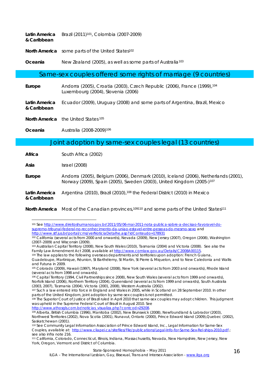| & Caribbean | Latin America Brazil $(2011)^{101}$ , Colombia $(2007-2009)$          |
|-------------|-----------------------------------------------------------------------|
|             | North America some parts of the United States <sup>102</sup>          |
| Oceania     | New Zealand (2005), as well as some parts of Australia <sup>103</sup> |
|             |                                                                       |

### Same-sex couples offered some rights of marriage (9 countries)

**Europe** Andorra (2005), Croatia (2003), Czech Republic (2006), France (1999),104 Luxembourg (2004), Slovenia (2006)

**Latin America & Caribbean**  Ecuador (2009), Uruguay (2008) and some parts of Argentina, Brazil, Mexico

**North America** the United States 105

**Oceania** Australia (2008-2009)106

### Joint adoption by same-sex couples legal (13 countries)

**Africa** South Africa (2002)

**Asia** Israel (2008)

 $\overline{a}$ 

**Europe** Andorra (2005), Belgium (2006), Denmark (2010), Iceland (2006), Netherlands (2001), Norway (2009), Spain (2005), Sweden (2003), United Kingdom (2005-)107

#### **Latin America & Caribbean**  Argentina (2010), Brazil (2010), <sup>108</sup> the Federal District (2010) in Mexico

**North America** Most of the Canadian provinces,109110 and some parts of the United States111

 $\frac{109}{109}$  Alberta, British Columbia (1996), Manitoba (2002), New Brunswick (2008), Newfoundland & Labrador (2003),

<sup>101</sup> See http://www.direitoshumanos.gov.br/2011/05/06-mai-2011-nota-publica-sobre-a-decisao-favoravel-dosupremo-tribunal-federal-no-reconhecimento-da-uniao-estavel-entre-pessoas-do-mesmo-sexo and http://www.stf.jus.br/portal/cms/verNoticiaDetalhe.asp?idConteudo=178931

<sup>102</sup> California (several acts from 2000 and onwards), Nevada (2009), New Jersey (2007), Oregon (2008), Washington (2007–2009) and Wisconsin (2009).

<sup>103</sup> Australian Capital Territory (2008), New South Wales (2010), Tasmania (2004) and Victoria (2008). See also the<br>Family Law Amendment Act 2008, available at http://www.comlaw.gov.au/Details/C2008A00115.

<sup>&</sup>lt;sup>104</sup> The law applies to the following overseas departments and territories upon adoption: French Guiana, Guadeloupe, Martinique, Réunion, St Barthélemy, St Martin, St Pierre & Miquelon, and to New Caledonia and Wallis and Futuna in 2009.

<sup>105</sup> Colorado (2009), Hawaii (1997), Maryland (2008), New York (several acts from 2003 and onwards), Rhode Island (several acts from 1998 and onwards).

<sup>106</sup> Capital Territory (1994, Civil Partnerships since 2008), New South Wales (several acts from 1999 and onwards), Norfolk Island (2006), Northern Territory (2004), Queensland (several acts from 1999 and onwards), South Australia (2003, 2007), Tasmania (2004), Victoria (2001, 2008), Western Australia (2002).

<sup>107</sup> Such a law entered into force in England and Wales in 2005, while in Scotland on 28 September 2010. In other parts of the United Kingdom, joint adoption by same-sex couples is not permitted.

<sup>108</sup> The Superior Court of Justice of Brazil ruled in April 2010 that same-sex couples may adopt children. This judgment was upheld in the Supreme Federal Court of Brazil in August 2010. See<br>http://www.athosgls.com.br/noticias visualiza.php?contcod=29208.

Northwest Territories (2002), Nova Scotia (2001), Nunavut, Ontario (2000), Prince Edward Island (2009),Quebec (2002), Saskatchewan (2001).

<sup>110</sup> *See* Community Legal Information Association of Prince Edward Island, Inc., Legal Information for Same-Sex Couples, available at: http://www.cliapei.ca/sitefiles/File/publications/Legal-Info-for-Same-Sex-Rel-ships-2010.pdf.; see also infra note 216.

<sup>111</sup> California, Colorado, Connecticut, Illinois, Indiana, Massachusetts, Nevada, New Hampshire, New Jersey, New York, Oregon, Vermont and District of Columbia.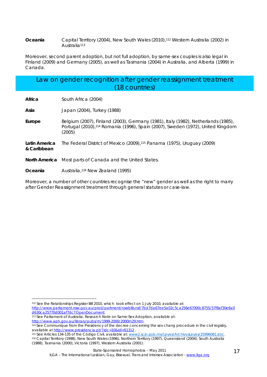#### **Oceania** Capital Territory (2004), New South Wales (2010),112 Western Australia (2002) in Australia113

Moreover, second parent adoption, but not full adoption, by same-sex couples is also legal in Finland (2009) and Germany (2005), as well as Tasmania (2004) in Australia, and Alberta (1999) in Canada.

### Law on gender recognition after gender reassignment treatment (18 countries)

**Africa** South Africa (2004)

**Asia** Japan (2004), Turkey (1988)

**Europe** Belgium (2007), Finland (2003), Germany (1981), Italy (1982), Netherlands (1985), Portugal (2010),114 Romania (1996), Spain (2007), Sweden (1972), United Kingdom (2005)

**Latin America & Caribbean**  The Federal District of Mexico (2009),115 Panama (1975), Uruguay (2009)

**North America** Most parts of Canada and the United States.

**Oceania** Australia,116 New Zealand (1995)

Moreover, a number of other countries recognise the "new" gender as well as the right to marry after Gender Reassignment treatment through general statutes or case-law.

116 Capital Territory (1998), New South Wales (1996), Northern Territory (1997), Queensland (2004), South Australia (1988), Tasmania (2000), Victoria (1997), Western Australia (2001).

 $\overline{a}$ 112 See the *Relationships Register Bill 2010*, which took effect on 1 July 2010, available at:

http://www.parliament.nsw.gov.au/prod/parlment/nswbills.nsf/7bd7da67ee5a02c5ca256e67000c8755/57f8af30e6a0<br>d630ca25770d001af7dc?OpenDocument.

<sup>113</sup> See Parliament of Australia, Research Note on Same-Sex Adoption, available at:<br>http://www.aph.gov.au/library/pubs/rn/1999-2000/2000rn29.htm.

<sup>114</sup> See Communique from the Presidency of the decree concerning the sex chang procedure in the civil registry, available at http://www.presidencia.pt/?idc=10&idi=51312 .<br><sup>115</sup> See Articles 134-135 of the *Código Civil*, available at: www2.scjn.gob.mx/Leyes/ArchivosLeyes/25996081.doc.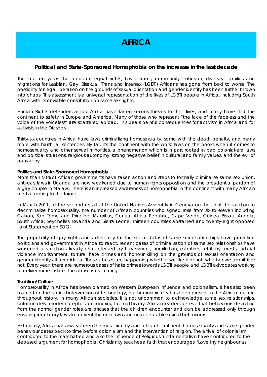### **AFRICA**

### **Political and State-Sponsored Homophobia on the increase in the last decade**

The last ten years the focus on equal rights, law reforms, community cohesion, diversity, families and migrations for Lesbian, Gay, Bisexual, Trans and Intersex (LGBTI) Africans has gone from bad to worse. The possibility for legal liberation on the grounds of sexual orientation and gender identity has been further thrown into chaos. This assessment is a universal representation of the lives of LGBTI people in Africa, including South Africa with its enviable constitution on same sex rights.

Human Rights defenders across Africa have faced serious threats to their lives, and many have fled the continent to safety in Europe and America. Many of those who represent "the face of the faceless and the voice of the voiceless" are scattered abroad. This bears painful consequences for activism in Africa and for activists in the Diaspora.

Thirty-six countries in Africa have laws criminalizing homosexuality, some with the death penalty, and many more with harsh jail sentences. By far, it's the continent with the worst laws on the books when it comes to homosexuality and other sexual minorities, a phenomenon which is in part rooted in bad colonial-era laws and political situations, religious autonomy, strong negative belief in cultural and family values, and the evil of patriarchy.

#### **Politics and State-Sponsored Homophobia**

More than 50% of African governments have taken action and steps to formally criminalise same sex union, anti-gay laws in Uganda are now weakened due to human rights opposition and the presidential pardon of a gay couple in Malawi. There is an increased awareness of homophobia in the continent with many African media adding to the furore.

In March 2011, at the second recall at the United Nations Assembly in Geneva on the Joint declaration to decriminalize homosexuality, the number of African countries who signed rose from six to eleven including Gabon, Sao Tome and Principe, Mauritius, Central Africa Republic, Cape Verde, Guinea Bissau, Angola, South Africa, Seychelles, Rwanda and Sierra Leone. Thirteen countries abstained and twenty-eight opposed Joint Statement on SOGI.

The popularity of gay rights and advocacy for the social status of same sex relationships have provoked politicians and government in Africa to react, recent cases of criminalisation of same sex relationships have worsened a situation already characterized by harassment, humiliation, extortion, arbitrary arrests, judicial violence imprisonment, torture, hate crimes and honour killing on the grounds of sexual orientation and gender identity all over Africa. These abuses are happening whether we like it or not, whether we admit it or not. Every year, there are numerous cases of hate crimes towards LGBTI people and LGBTI advocates working to deliver more justice. The abuse is escalating.

#### **Tradition/Culture**

Homosexuality in Africa has been blamed on Western European influence and colonialism. It has also been blamed on the radical intervention of technology, but homosexuality has been present in the African culture throughout history. In many African societies, it is not uncommon to acknowledge same sex relationships. Unfortunately, modern sceptics are ignoring factual history. African leaders believe that behaviours deviating from the normal gender roles are phases that the children encounter and can be addressed only through ensuring regulatory laws to prevent the unknown and unacceptable sexual behaviours.

Historically, Africa has always been the most friendly and tolerant continent: homosexuality and same gender behaviour dates back to time before colonialism and the intervention of religion. The arrival of colonialism contributed to the mass hatred and also the influence of Religious fundamentalism have contributed to the debased argument for homophobia. Christianity teaches a faith that encourages, "Love thy neighbour as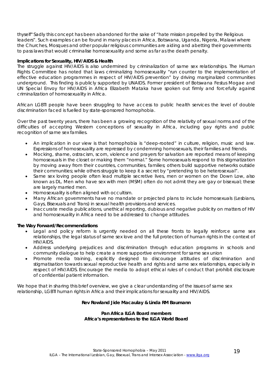thyself" Sadly this concept has been abandoned for the sake of "hate mission propelled by the Religious leaders". Such examples can be found in many places in Africa, Botswana, Uganda, Nigeria, Malawi where the Churches, Mosques and other popular religious communities are aiding and abetting their governments to pass laws that would criminalise homosexuality and some as far as the death penalty.

#### **Implications for Sexuality, HIV/AIDS & Health**

The struggle against HIV/AIDS is also undermined by criminalization of same sex relationships. The Human Rights Committee has noted that laws criminalizing homosexuality "run counter to the implementation of effective education programmes in respect of HIV/AIDS prevention" by driving marginalized communities underground. This finding is publicly supported by UNAIDS. Former president of Botswana Festus Mogae and UN Special Envoy for HIV/AIDS in Africa Elizabeth Mataka have spoken out firmly and forcefully against criminalization of homosexuality in Africa.

African LGBTI people have been struggling to have access to public health services the level of double discrimination faced is fuelled by state-sponsored homophobia.

Over the past twenty years, there has been a growing recognition of the relativity of sexual norms and of the difficulties of accepting Western conceptions of sexuality in Africa, including gay rights and public recognition of same sex families.

- An implication in our view is that homophobia is "deep-rooted" in culture, religion, music and law. Expressions of homosexuality are repressed by condemning homosexuals, their families and friends.
- Mocking, shame, ostracism, scorn, violence and prayers for salvation are reported means of keeping homosexuals in the closet or making them "normal." Some homosexuals respond to this stigmatization by moving away from their countries, communities, families; others build supportive networks outside their communities; while others struggle to keep it a secret by "pretending to be heterosexual".
- Same sex loving people often lead multiple secretive lives, men or women on the Down Low, also known as DL. Men who have sex with men (MSM) often do not admit they are gay or bisexual; these are largely married men.
- Homosexuality is often aligned with occultism.
- Many African governments have no mandate or projected plans to include homosexuals (Lesbians, Gays, Bisexuals and Trans) in sexual health provisions and services.
- Inaccurate media publications, unethical reporting, dubious and negative publicity on matters of HIV and homosexuality in Africa need to be addressed to change attitudes.

#### **The Way Forward/Recommendations**

- Legal and policy reform is urgently needed on all these fronts to legally reinforce same sex relationships, the legal status of same sex love and the full protection of human rights in the context of HIV/AIDS.
- Address underlying prejudices and discrimination through education programs in schools and community dialogue to help create a more supportive environment for same sex union
- Promote media training, explicitly designed to discourage attitudes of discrimination and stigmatisation towards sexual reproductive health and rights and same sex relationships, especially in respect of HIV/AIDS. Encourage the media to adopt ethical rules of conduct that prohibit disclosure of confidential patient information.

We hope that in sharing this brief overview, we give a clear understanding of the issues of same sex relationship, LGBTI human rights in Africa and their implications for sexuality and HIV/AIDS.

#### **Rev Rowland Jide Macaulay & Linda RM Baumann**

#### **Pan Africa ILGA Board members Africa's representatives to the ILGA World Board**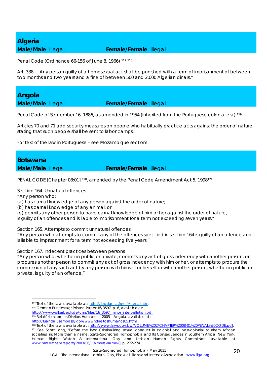## *Algeria*

### **Male/Male Illegal <b>Female/Female** Illegal

Penal Code (Ordinance 66-156 of June 8, 1966) 117 <sup>118</sup>

Art. 338 - "Any person guilty of a homosexual act shall be punished with a term of imprisonment of between two months and two years and a fine of between 500 and 2,000 Algerian dinars."

*Angola* 

**Male/Male** Illegal **Female/Female** Illegal

Penal Code of September 16, 1886, as amended in 1954 (Inherited from the Portuguese colonial era) 119

Articles 70 and 71 add security measures on people who habitually practice acts against the order of nature, stating that such people shall be sent to labor camps.

For text of the law in Portuguese – see Mozambique section!

*Botswana* 

#### **Male/Male Illegal <b>Female/Female** Illegal

PENAL CODE [Chapter 08:01] <sup>120</sup>, amended by the Penal Code Amendment Act 5, 1998<sup>121</sup>.

Section 164. Unnatural offences

"Any person who;

1

(a) has carnal knowledge of any person against the order of nature;

(b) has carnal knowledge of any animal; or

(c) permits any other person to have carnal knowledge of him or her against the order of nature,

is guilty of an offences and is liable to imprisonment for a term not exceeding seven years."

Section 165. Attempts to commit unnatural offences

"Any person who attempts to commit any of the offences specified in section 164 is guilty of an offence and is liable to imprisonment for a term not exceeding five years."

Section 167. Indecent practices between persons

"Any person who, whether in public or private, commits any act of gross indecency with another person, or procures another person to commit any act of gross indecency with him or her, or attempts to procure the commission of any such act by any person with himself or herself or with another person, whether in public or private, is guilty of an offence."

State-Sponsored Homophobia – May 2011

<sup>117</sup> Text of the law is available at: http://lexalgeria.free.fr/penal.htm.<br>118 German Bundestag; Printed Paper 16/3597, p. 6, available at:

http://www.volkerbeck.de/cms/files/16\_3597\_minor\_interpellation.pdf

<sup>119</sup> Relatório sobre os Direitos Humanos – 2005 – Angola, available at :

http://luanda.usembassy.gov/wwwhdireitoshumanos05.html<br><sup>120</sup> Text of the law is available at : http://www.laws.gov.bw/VOLUME%202/CHAPTER%2008-01%20PENAL%20CODE.pdf.<br><sup>121</sup> See Scott Long, 'Before the law: Criminalizing sexu

societies' in: *More than a name: State-Sponsored Homophobia and Its Consequences in Southern Africa*, New York: Human Rights Watch & International Gay and Lesbian Human Rights Commission, available at www.hrw.org/en/reports/2003/05/13/more-name-0, p. 272-274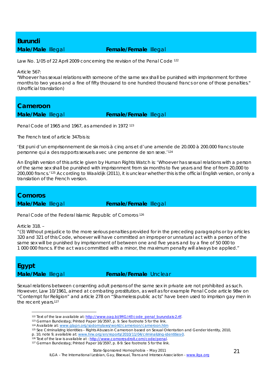## *Burundi*

### **Male/Male** Illegal **Female/Female** Illegal

Law No. 1/05 of 22 April 2009 concerning the revision of the Penal Code 122

Article 567:

"Whoever has sexual relations with someone of the same sex shall be punished with imprisonment for three months to two years and a fine of fifty thousand to one hundred thousand francs or one of those penalties." (Unofficial translation)

*Cameroon* 

**Male/Male** Illegal **Female/Female** Illegal

Penal Code of 1965 and 1967, as amended in 1972 123

The French text of article 347bis is:

*'Est puni d'un emprisonnement de six mois à cinq ans et d'une amende de 20.000 à 200.000 francs toute personne qui a des rapports sexuels avec une personne de son sexe.'124*

An English version of this article given by Human Rights Watch is: 'Whoever has sexual relations with a person of the same sex shall be punished with imprisonment from six months to five years and fine of from 20,000 to 200,000 francs.'125 According to Waaldijk (2011), it is unclear whether this is the official English version, or only a translation of the French version.

*Comoros* 

**Male/Male Illegal <b>Female/Female** Illegal

Penal Code of the Federal Islamic Republic of Comoros 126

Article 318. –

"(3) Without prejudice to the more serious penalties provided for in the preceding paragraphs or by articles 320 and 321 of this Code, whoever will have committed an improper or unnatural act with a person of the same sex will be punished by imprisonment of between one and five years and by a fine of 50 000 to 1 000 000 francs. If the act was committed with a minor, the maximum penalty will always be applied."

*Egypt* 

1

### **Male/Male Illegal <b>Female/Female** Unclear

Sexual relations between consenting adult persons of the same sex in private are not prohibited as such. However, Law 10/1961, aimed at combating prostitution, as well as for example Penal Code article 98w on "Contempt for Religion" and article 278 on "Shameless public acts" have been used to imprison gay men in the recent years.127

<sup>&</sup>lt;sup>122</sup> Text of the law available at: http://www.oag.bi/IMG/rtf/code\_penal\_burundais-2.rtf.<br><sup>123</sup> German Bundestag; Printed Paper 16/3597, p. 9. See footnote 5 for the link.<br><sup>124</sup> Available at: www.glapn.org/sodomylaws/world

<sup>125</sup> See Criminalizing Identities – Rights Abuses in Cameroon based on Sexual Orientation and Gender Identity, 2010,

p. 10, note 9, available at: www.hrw.org/en/reports/2010/11/04/criminalizing-identities-0.<br><sup>126</sup> Text of the law is available at : http://www.comores-droit.com/code/penal.<br><sup>127</sup> German Bundestag; Printed Paper 16/3597, p.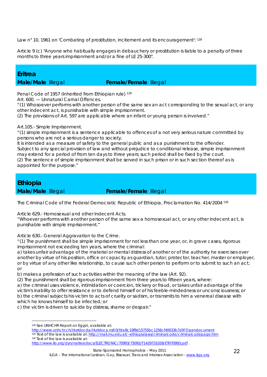Law n° 10, 1961 on 'Combating of prostitution, incitement and its encouragement': 128

Article 9 (c) "Anyone who habitually engages in debauchery or prostitution is liable to a penalty of three months to three years imprisonment and/or a fine of LE 25-300".

### *Eritrea*

### **Male/Male Illegal <b>Female/Female** Illegal

Penal Code of 1957 (Inherited from Ethiopian rule) 129

Art. 600. — Unnatural Carnal Offences.

"(1) Whosoever performs with another person of the same sex an act corresponding to the sexual act, or any other indecent act, is punishable with simple imprisonment.

(2) The provisions of Art. 597 are applicable where an infant or young person is involved."

Art.105.- Simple Imprisonment.

"(1) simple imprisonment is a sentence applicable to offences of a not very serious nature committed by persons who are not a serious danger to society.

It is intended as a measure of safety to the general public and as a punishment to the offender. Subject to any special provision of law and without prejudice to conditional release, simple imprisonment may extend for a period of from ten days to three years; such period shall be fixed by the court. (2) The sentence of simple imprisonment shall be served in such prison or in such section thereof as is appointed for the purpose."

### *Ethiopia*

**Male/Male Illegal <b>Female/Female** Illegal

The Criminal Code of the Federal Democratic Republic of Ethiopia, Proclamation No. 414/2004 130

Article 629.- Homosexual and other Indecent Acts.

"Whoever performs with another person of the same sex a homosexual act, or any other indecent act, is punishable with simple imprisonment."

Article 630.- General Aggravation to the Crime.

"(1) The punishment shall be simple imprisonment for not less than one year, or, in grave cases, rigorous imprisonment not exceeding ten years, where the criminal:

a) takes unfair advantage of the material or mental distress of another or of the authority he exercises over another by virtue of his position, office or capacity as guardian, tutor, protector, teacher, master or employer, or by virtue of any other like relationship, to cause such other person to perform or to submit to such an act; or

b) makes a profession of such activities within the meaning of the law (Art. 92).

(2) The punishment shall be rigorous imprisonment from three years to fifteen years, where:

a) the criminal uses violence, intimidation or coercion, trickery or fraud, or takes unfair advantage of the victim's inability to offer resistance or to defend himself or of his feeble-mindedness or unconsciousness; or b) the criminal subjects his victim to acts of cruelty or sadism, or transmits to him a venereal disease with which he knows himself to be infected; or

c) the victim is driven to suicide by distress, shame or despair."

<sup>1</sup> 128 See UNHCHR Report on Egypt, available at:

http://www.unhchr.ch/Huridocda/Huridoca.nsf/0/fda8c19f8d15755bc1256cf40033b7d9?Opendocument<br><sup>129</sup> Text of the law is available at: http://mail.mu.edu.et/~ethiopialaws/criminalcode/criminalcodepage.htm<br><sup>130</sup> Text of the law http://www.ilo.org/dyn/natlex/docs/ELECTRONIC/70993/75092/F1429731028/ETH70993.pdf .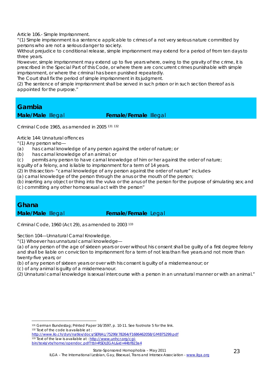Article 106.- Simple Imprisonment.

"(1) Simple imprisonment is a sentence applicable to crimes of a not very serious nature committed by persons who are not a serious danger to society.

Without prejudice to conditional release, simple imprisonment may extend for a period of from ten days to three years.

However, simple imprisonment may extend up to five years where, owing to the gravity of the crime, it is prescribed in the Special Part of this Code, or where there are concurrent crimes punishable with simple imprisonment, or where the criminal has been punished repeatedly.

The Court shall fix the period of simple imprisonment in its judgment.

(2) The sentence of simple imprisonment shall be served in such prison or in such section thereof as is appointed for the purpose."

### *Gambia*

**Male/Male Illegal <b>Female/Female** Illegal

Criminal Code 1965, as amended in 2005 131 <sup>132</sup>

Article 144: Unnatural offences

"(1) Any person who—

- (a) has carnal knowledge of any person against the order of nature; or
- (b) has carnal knowledge of an animal; or
- (c) permits any person to have carnal knowledge of him or her against the order of nature;

is guilty of a felony, and is liable to imprisonment for a term of 14 years.

(2) In this section- "carnal knowledge of any person against the order of nature" includes-

(a) carnal knowledge of the person through the anus or the mouth of the person;

- (b) inserting any object or thing into the vulva or the anus of the person for the purpose of simulating sex; and
- (c) committing any other homosexual act with the person"

### *Ghana*

1

**Male/Male Illegal <b>Female/Female** Legal

Criminal Code, 1960 (Act 29), as amended to 2003 133

Section 104—Unnatural Carnal Knowledge.

"(1) Whoever has unnatural carnal knowledge—

(a) of any person of the age of sixteen years or over without his consent shall be guilty of a first degree felony and shall be liable on conviction to imprisonment for a term of not less than five years and not more than twenty-five years; or

- (b) of any person of sixteen years or over with his consent is guilty of a misdemeanour; or
- (c) of any animal is guilty of a misdemeanour.
- (2) Unnatural carnal knowledge is sexual intercourse with a person in an unnatural manner or with an animal."

<sup>131</sup> German Bundestag; Printed Paper 16/3597, p. 10-11. See footnote 5 for the link.<br><sup>132</sup> Text of the code is available at :

http://www.ilo.ch/dyn/natlex/docs/SERIAL/75299/78264/F1686462058/GMB75299.pdf<br><sup>133</sup> Text of the law is available at : http://www.unhcr.org/cgibin/texis/vtx/home/opendoc.pdf?tbl=RSDLEGAL&id=44bf823a4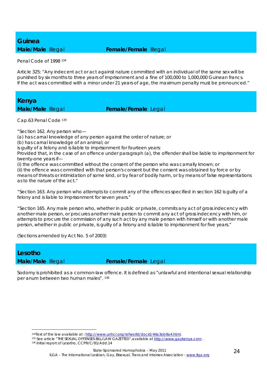## *Guinea*

### **Male/Male** Illegal **Female/Female** Illegal

Penal Code of 1998 134

Article 325: "Any indecent act or act against nature committed with an individual of the same sex will be punished by six months to three years of imprisonment and a fine of 100,000 to 1,000,000 Guinean francs. If the act was committed with a minor under 21 years of age, the maximum penalty must be pronounced."

*Kenya* 

**Male/Male Illegal <b>Female/Female** Legal

Cap.63 Penal Code 135

"Section 162. Any person who—

(a) has carnal knowledge of any person against the order of nature; or

(b) has carnal knowledge of an animal; or

is guilty of a felony and is liable to imprisonment for fourteen years:

Provided that, in the case of an offence under paragraph (a), the offender shall be liable to imprisonment for twenty-one years if—

(i) the offence was committed without the consent of the person who was carnally known; or

(ii) the offence was committed with that person's consent but the consent was obtained by force or by means of threats or intimidation of some kind, or by fear of bodily harm, or by means of false representations as to the nature of the act."

"Section 163. Any person who attempts to commit any of the offences specified in section 162 is guilty of a felony and is liable to imprisonment for seven years."

"Section 165. Any male person who, whether in public or private, commits any act of gross indecency with another male person, or procures another male person to commit any act of gross indecency with him, or attempts to procure the commission of any such act by any male person with himself or with another male person, whether in public or private, is guilty of a felony and is liable to imprisonment for five years."

(Sections amended by Act No. 5 of 2003)

### *Lesotho*

<u>.</u>

**Male/Male** Illegal **Female/Female** Legal

Sodomy is prohibited as a common-law offence. It is defined as "unlawful and intentional sexual relationship per anum between two human males". 136

<sup>&</sup>lt;sup>134</sup> Text of the law available at : http://www.unhcr.org/refworld/docid/44a3eb9a4.html.<br><sup>135</sup> See article "THE SEXUAL OFFENSES BILL/LAW GAZETTED", available at http://www.gaykenya.com.<br><sup>136</sup> Initial report of Lesotho, CCP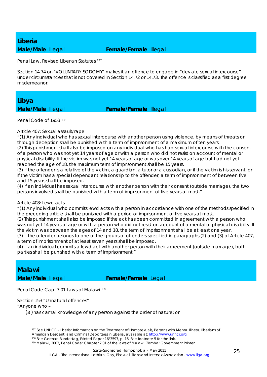# *Liberia*

### **Male/Male** Illegal **Female/Female** Illegal

Penal Law, Revised Liberian Statutes 137

Section 14.74 on 'VOLUNTARY SODOMY' makes it an offence to engage in "deviate sexual intercourse" under circumstances that is not covered in Section 14.72 or 14.73. The offence is classified as a first degree misdemeanor.

*Libya* 

**Male/Male** Illegal **Female/Female** Illegal

Penal Code of 1953 138

Article 407: Sexual assault/rape

"(1) Any individual who has sexual intercourse with another person using violence, by means of threats or through deception shall be punished with a term of imprisonment of a maximum of ten years.

(2) This punishment shall also be imposed on any individual who has had sexual intercourse with the consent of a person who was not yet 14 years of age or with a person who did not resist on account of mental or physical disability. If the victim was not yet 14 years of age or was over 14 years of age but had not yet reached the age of 18, the maximum term of imprisonment shall be 15 years.

(3) If the offender is a relative of the victim, a guardian, a tutor or a custodian, or if the victim is his servant, or if the victim has a special dependant relationship to the offender, a term of imprisonment of between five and 15 years shall be imposed.

(4) If an individual has sexual intercourse with another person with their consent (outside marriage), the two persons involved shall be punished with a term of imprisonment of five years at most."

#### Article 408: Lewd acts

"(1) Any individual who commits lewd acts with a person in accordance with one of the methods specified in the preceding article shall be punished with a period of imprisonment of five years at most.

(2) This punishment shall also be imposed if the act has been committed in agreement with a person who was not yet 14 years of age or with a person who did not resist on account of a mental or physical disability. If the victim was between the ages of 14 and 18, the term of imprisonment shall be at least one year.

(3) If the offender belongs to one of the groups of offenders specified in paragraphs (2) and (3) of Article 407, a term of imprisonment of at least seven years shall be imposed.

(4) If an individual commits a lewd act with another person with their agreement (outside marriage), both parties shall be punished with a term of imprisonment."

*Malawi* 

**Male/Male Illegal <b>Female/Female** Legal

Penal Code Cap. 7:01 Laws of Malawi 139

Section 153 "Unnatural offences"

"Anyone who –

(a)has carnal knowledge of any person against the order of nature; or

<sup>1</sup> 137 See UNHCR - Liberia: Information on the Treatment of Homosexuals, Persons with Mental Illness, Liberians of American Descent, and Criminal Deportees in Liberia, available at: http://www.unhcr.org

<sup>138</sup> See German Bundestag, Printed Paper 16/3597, p. 16. See footnote 5 for the link.<br>139 Malawi, 2003, Penal Code: Chapter 7:01 of the laws of Malawi. Zomba: Government Printer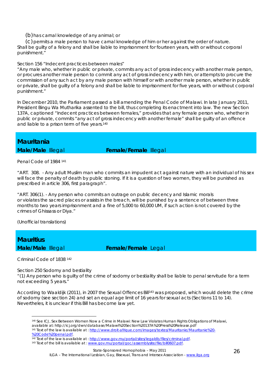(b)has carnal knowledge of any animal; or

(c)permits a male person to have carnal knowledge of him or her against the order of nature. Shall be guilty of a felony and shall be liable to imprisonment for fourteen years, with or without corporal punishment."

#### Section 156 "Indecent practices between males"

"Any male who, whether in public or private, commits any act of gross indecency with another male person, or procures another male person to commit any act of gross indecency with him, or attempts to procure the commission of any such act by any male person with himself or with another male person, whether in public or private, shall be guilty of a felony and shall be liable to imprisonment for five years, with or without corporal punishment."

In December 2010, the Parliament passed a bill amending the Penal Code of Malawi. In late January 2011, President Bingu Wa Mutharika assented to the bill, thus completing its enactment into law. The new Section 137A, captioned "Indecent practices between females," provides that any female person who, whether in public or private, commits "any act of gross indecency with another female" shall be guilty of an offence and liable to a prison term of five years.140

### *Mauritania*

**Male/Male Illegal <b>Female/Female** Illegal

Penal Code of 1984 141

"ART. 308. - Any adult Muslim man who commits an impudent act against nature with an individual of his sex will face the penalty of death by public stoning. If it is a question of two women, they will be punished as prescribed in article 306, first paragraph".

"ART. 306(1). - Any person who commits an outrage on public decency and Islamic morals or violates the sacred places or assists in the breach, will be punished by a sentence of between three months to two years imprisonment and a fine of 5,000 to 60,000 UM, if such action is not covered by the crimes of Ghissass or Diya."

(Unofficial translations)

*Mauritius*  **Male/Male Illegal <b>Female/Female** Legal

Criminal Code of 1838 <sup>142</sup>

1

Section 250 Sodomy and bestiality

"(1) Any person who is guilty of the crime of sodomy or bestiality shall be liable to penal servitude for a term not exceeding 5 years."

According to Waaldijk (2011), in 2007 the Sexual Offences Bill143 was proposed, which would delete the crime of sodomy (see section 24) and set an equal age limit of 16 years for sexual acts (Sections 11 to 14). Nevertheles, it is unclear if this Bill has become law yet.

<sup>140</sup> See ICJ, Sex Between Women Now a Crime in Malawi: New Law Violates Human Rights Obligations of Malawi, available at: http://icj.org/dwn/database/Malawi%20Section%20137A%20Press%20Release.pdf<br><sup>141</sup> Text of the law is available at : http://www.droit-afrique.com/images/textes/Mauritanie/Mauritanie%20-

<sup>%20</sup>Code%20penal.pdf.<br><sup>142</sup> Text of the law is available at : http://www.gov.mu/portal/sites/legaldb/files/criminal.pdf.<br><sup>143</sup> Text of the bill is available at : www.gov.mu/portal/goc/assemblysite/file/bill0607.pdf.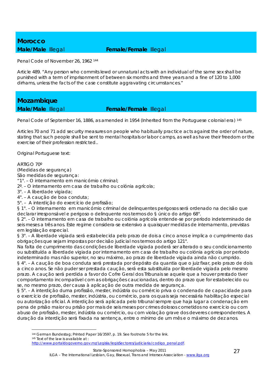## *Morocco*

### **Male/Male** Illegal **Female/Female** Illegal

Penal Code of November 26, 1962 144

Article 489. "Any person who commits lewd or unnatural acts with an individual of the same sex shall be punished with a term of imprisonment of between six months and three years and a fine of 120 to 1,000 dirhams, unless the facts of the case constitute aggravating circumstances."

*Mozambique* 

### **Male/Male Illegal <b>Female/Female** Illegal

Penal Code of September 16, 1886, as amended in 1954 (Inherited from the Portuguese colonial era) 145

Articles 70 and 71 add security measures on people who habitually practice acts against the order of nature, stating that such people shall be sent to mental hospitals or labor camps, as well as have their freedom or the exercise of their profession restricted..

Original Portuguese text:

ARTIGO 70º

<u>.</u>

(Medidas de segurança)

São medidas de segurança:

"1°. – O internamento em manicómio criminal;

2º. – O internamento em casa de trabalho ou colónia agrícola;

3°. – A liberdade vigiada;

4°. – A caução de boa conduta;

5°. – A interdição do exercício de profissão;

§ 1°. – O internamento em manicómio criminal de delinquentes perigosos será ordenado na decisão que declarar irresponsável e perigoso o delinquente nos termos do § único do artigo 68°.

§ 2°. – O internamento em casa de trabalho ou colónia agrícola entende-se por período indeterminado de seis meses a três anos. Este regime considera-se extensivo a quaisquer medidas de internamento, previstas em legislação especial.

§ 3°. – A liberdade vigiada será estabelecida pelo prazo de dois a cinco anos e implica o cumprimento das obrigações que sejam impostas por decisão judicial nos termos do artigo 121°.

Na falta de cumprimento das condições de liberdade vigiada poderá ser alterado o seu condicionamento ou substituída a liberdade vigiada por internamento em casa de trabalho ou colónia agrícola por período indeterminado mas não superior, no seu máximo, ao prazo de liberdade vigiada ainda não cumprido. § 4°. – A caução de boa conduta será prestada por depósito da quantia que o juiz fixar, pelo prazo de dois a cinco anos. Se não puder ser prestada caução, será esta substituída por liberdade vigiada pelo mesmo prazo. A caução será perdida a favor do Cofre Geral dos Tribunais se aquele que a houver prestado tiver comportamento incompatível com as obrigações caucionadas, dentro do prazo que for estabelecido ou se, no mesmo prazo, der causa à aplicação de outra medida de segurança.

§ 5°. – A interdição duma profissão, mester, indústria ou comércio priva o condenado de capacidade para o exercício de profissão, mester, indústria, ou comércio, para os quais seja necessária habilitação especial ou autorização oficial. A interdição será aplicada pelo tribunal sempre que haja lugar a condenação em pena de prisão maior ou prisão por mais de seis meses por crimes dolosos cometidos no exercício ou com abuso de profissão, mester, indústria ou comércio, ou com violação grave dos deveres correspondentes. A duração da interdição será fixada na sentença, entre o mínimo de um mês e o máximo de dez anos.

144 German Bundestag; Printed Paper 16/3597, p. 19. See footnote 5 for the link.<br>145 Text of the law is available at :

http://www.portaldogoverno.gov.mz/Legisla/legisSectores/judiciaria/codigo\_penal.pdf.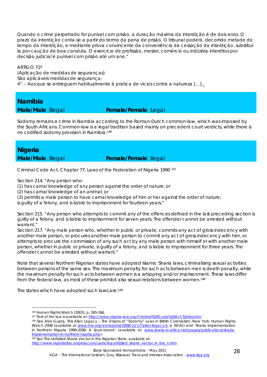Quando o crime perpetrado for punível com prisão, a duração máxima da interdição é de dois anos. O prazo da interdição conta-se a partir do termo da pena de prisão. O tribunal poderá, decorrido metade do tempo da interdição, e mediante prova convincente da conveniência da cessação da interdição, substituíla por caução de boa conduta. O exercício de profissão, mester, comércio ou indústria interditos por decisão judicial é punível com prisão até um ano."

ARTIGO 71º

(Aplicação de medidas de seguranças) São aplicáveis medidas de segurança: 4°. – Aos que se entreguem habitualmente à pratica de vícios contra a natureza […].

## *Namibia*

### **Male/Male** Illegal **Female/Female** Legal

Sodomy remains a crime in Nambia according to the Roman-Dutch common-law, which was imposed by the South Africans. Common-law is a legal tradition based mainly on precedent court verdicts, while there is no codified sodomy provision in Namibia.146

### *Nigeria*

### **Male/Male** Illegal **Female/Female** Ilegal

Criminal Code Act, Chapter 77, Laws of the Federation of Nigeria 1990 147

Section 214. "Any person who-

(1) has carnal knowledge of any person against the order of nature; or

(2) has carnal knowledge of an animal; or

(3) permits a male person to have carnal knowledge of him or her against the order of nature;

is guilty of a felony, and is liable to imprisonment for fourteen years."

Section 215. "Any person who attempts to commit any of the offences defined in the last preceding section is guilty of a felony, and is liable to imprisonment for seven years. The offender cannot be arrested without warrant."

Section 217. "Any male person who, whether in public or private, commits any act of gross indecency with another male person, or procures another male person to commit any act of gross indecency with him, or attempts to procure the commission of any such act by any male person with himself or with another male person, whether in public or private, is guilty of a felony, and is liable to imprisonment for three years. The offender cannot be arrested without warrant."

Note that several Northern Nigerian states have adopted Islamic Sharia laws, criminalising sexual activities between persons of the same sex. The maximum penalty for such acts between men is death penalty, while the maximum penalty for such acts between women is a whipping and/or imprisonment. These laws differ from the federal law, as most of these prohibit also sexual relations between women.148

The states which have adopted such laws are:149

<u>.</u>

implementation-in-northern-nigeria.php).<br><sup>149</sup> See The Unfizzled Sharia Vector in the Nigerian State, available at:

http://www.nigerdeltacongress.com/uarticles/unfizzled\_sharia\_vector\_in\_the\_n.htm .

<sup>&</sup>lt;sup>146</sup> Human Rights Watch (2003), p. 265-266.<br><sup>147</sup> Text of the law is available at: <u>http://www.nigeria-law.org/Criminal%20Code%20Act-Tables.htm</u>.<br><sup>148</sup> See Alok Gupta, *This Alien Legacy – The Origins of "Sodomy" Laws in* Watch 2008 (available at www.hrw.org/en/reports/2008/12/17/alien-legacy-0, p. 60-61) and 'Sharia Implementation in Northern Nigeria 1999-2006: A Sourcebook' (available at: www.sharia-in-africa.net/pages/publications/sharia-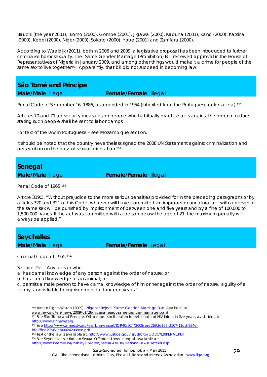Bauchi (the year 2001), Borno (2000), Gombe (2001), Jigawa (2000), Kaduna (2001), Kano (2000), Katsina (2000), Kebbi (2000), Niger (2000), Sokoto (2000), Yobe (2001) and Zamfara (2000).

According to Waaldijk (2011), both in 2006 and 2009, a legislative proposal has been introduced to further criminalise homosexuality. The 'Same Gender Marriage (Prohibition) Bill' received approval in the House of Representatives of Nigeria in January 2009, and among other things would make it a crime for people of the same sex to live together<sup>150</sup>. Apparently, that bill did not succeed in becoming law.

### *São Tomé and Principe*

**Male/Male** Illegal **Female/Female** Illegal

Penal Code of September 16, 1886, as amended in 1954 (Inherited from the Portuguese colonial era) 151

Articles 70 and 71 ad security measures on people who habitually practice acts against the order of nature, stating such people shall be sent to labor camps.

For text of the law in Portuguese – see Mozambique section.

It should be noted that the country nevertheless signed the 2008 UN Statement against criminalization and persecution on the basis of sexual orientation.152

### *Senegal*

**Male/Male** Illegal **Female/Female** Illegal

#### Penal Code of 1965 153

Article 319:3. "Without prejudice to the more serious penalties provided for in the preceding paragraphs or by articles 320 and 321 of this Code, whoever will have committed an improper or unnatural act with a person of the same sex will be punished by imprisonment of between one and five years and by a fine of 100,000 to 1,500,000 francs. If the act was committed with a person below the age of 21, the maximum penalty will always be applied."

### *Seychelles*

**Male/Male Illegal <b>Female/Female** Legal

Criminal Code of 1955 <sup>154</sup>

<u>.</u>

Section 151. "Any person who –

a. has carnal knowledge of any person against the order of nature; or

b. has carnal knowledge of an animal; or

c. permits a male person to have carnal knowledge of him or her against the order of nature, is guilty of a felony, and is liable to imprisonment for fourteen years."

<sup>150</sup>Human Rights Watch (2009), *Nigeria: Reject 'Same Gender' Marriage Ban*. Available at:

<sup>151</sup> See São Tomé and Principe: Oil and tourism threaten to treble rate of HIV infect in five years, available at: http://www.irinnews.org.<br><sup>152</sup> See <u>http://www.amnesty.org/es/library/asset/IOR40/024/2008/en/269de167-d107-11dd-984e-</u>

fdc7ffcd27a6/ior400242008en.pdf.

<sup>153</sup> Text of the law is available at: http://www.justice.gouv.sn/droitp/CODE%20PENAL.PDF.<br>
154 See Seychelles section on Sexual Offences Laws, Interpol, available at: http://www.interpol.int/Public/Children/SexualAbuse/NationalLaws/Default.asp.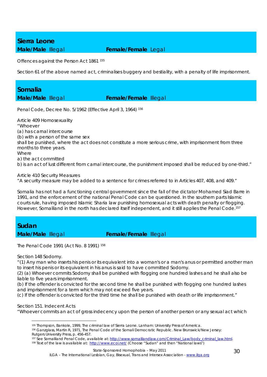## *Sierra Leone*

### **Male/Male** Illegal **Female/Female** Legal

Offences against the Person Act 1861 155

Section 61 of the above named act, criminalises buggery and bestiality, with a penalty of life imprisonment.

### *Somalia*

### **Male/Male** Illegal **Female/Female** Illegal

Penal Code, Decree No. 5/1962 (Effective April 3, 1964) 156

Article 409 Homosexuality "Whoever (a) has carnal intercourse (b) with a person of the same sex shall be punished, where the act does not constitute a more serious crime, with imprisonment from three months to three years. Where a) the act committed b) is an act of lust different from carnal intercourse, the punishment imposed shall be reduced by one-third."

Article 410 Security Measures

"A security measure may be added to a sentence for crimes referred to in Articles 407, 408, and 409."

Somalia has not had a functioning central government since the fall of the dictator Mohamed Siad Barre in 1991, and the enforcement of the national Penal Code can be questioned. In the southern parts Islamic courts rule, having imposed Islamic Sharia law punishing homosexual acts with death penalty or flogging. However, Somaliland in the north has declared itself independent, and it still applies the Penal Code.<sup>157</sup>

### *Sudan*

**Male/Male Illegal <b>Female/Female** Illegal

The Penal Code 1991 (Act No. 8 1991) 158

Section 148 Sodomy.

"(1) Any man who inserts his penis or its equivalent into a woman's or a man's anus or permitted another man to insert his penis or its equivalent in his anus is said to have committed Sodomy.

(2) (a) Whoever commits Sodomy shall be punished with flogging one hundred lashes and he shall also be liable to five years imprisonment.

(b) If the offender is convicted for the second time he shall be punished with flogging one hundred lashes and imprisonment for a term which may not exceed five years.

(c) If the offender is convicted for the third time he shall be punished with death or life imprisonment."

Section 151. Indecent Acts

1

"Whoever commits an act of gross indecency upon the person of another person or any sexual act which

<sup>155</sup> Thompson, Bankole, 1999, The criminal law of Sierra Leone. Lanham: University Press of America.<br><sup>156</sup> Ganzglass, Martin R, 1971, The Penal Code of the Somali Democratic Republic. New Brunswick/New Jersey:

Rutgers University Press, p. 456-457.

<sup>157</sup> See Somaliland Penal Code, available at: http://www.somalilandlaw.com/Criminal\_Law/body\_criminal\_law.html.<br>158 Text of the law is available at: http://www.ecoi.net/ (Choose "Sudan" and then "National laws")

State-Sponsored Homophobia – May 2011 ILGA - The International Lesbian, Gay, Bisexual, Trans and Intersex Association - www.ilga.org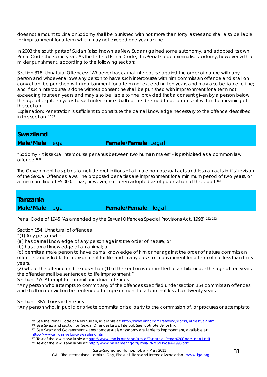does not amount to Zina or Sodomy shall be punished with not more than forty lashes and shall also be liable for imprisonment for a term which may not exceed one year or fine."

In 2003 the south parts of Sudan (also known as New Sudan) gained some autonomy, and adopted its own Penal Code the same year. As the federal Penal Code, this Penal Code criminalises sodomy, however with a milder punishment, according to the following section:

Section 318. Unnatural Offences: "Whoever has carnal intercourse against the order of nature with any person and whoever allows any person to have such intercourse with him commits an offence and shall on conviction, be punished with imprisonment for a term not exceeding ten years and may also be liable to fine; and if such intercourse is done without consent he shall be punished with imprisonment for a term not exceeding fourteen years and may also be liable to fine; provided that a consent given by a person below the age of eighteen years to such intercourse shall not be deemed to be a consent within the meaning of this section.

Explanation: Penetration is sufficient to constitute the carnal knowledge necessary to the offence described in this section." 159

### *Swaziland*

**Male/Male Illegal <b>Female/Female** Legal

"Sodomy - it is sexual intercourse per anus between two human males" - is prohibited as a common law offence.160

The Government has plans to include prohibitions of all male homosexual acts and lesbian acts in it's' revision of the Sexual Offences laws. The proposed penalties are imprisonment for a minimum period of two years, or a minimum fine of E5 000. It has, however, not been adopted as of publication of this report.161

### *Tanzania*

**Male/Male Illegal <b>Female/Female** Illegal

Penal Code of 1945 (As amended by the Sexual Offences Special Provisions Act, 1998) <sup>162 163</sup>

Section 154. Unnatural of offences

"(1) Any person who-

(a) has carnal knowledge of any person against the order of nature; or

(b) has carnal knowledge of an animal; or

(c) permits a male person to have carnal knowledge of him or her against the order of nature commits an offence, and is liable to imprisonment for life and in any case to imprisonment for a term of not less than thirty years.

(2) where the offence under subsection (1) of this section is committed to a child under the age of ten years the offender shall be sentenced to life imprisonment."

Section 155. Attempt to commit unnatural offences

"Any person who attempts to commit any of the offences specified under section 154 commits an offences and shall on conviction be sentenced to imprisonment for a term not less than twenty years."

Section 138A. Gross indecency

1

"Any person who, in public or private commits, or is a party to the commission of, or procures or attempts to

<sup>&</sup>lt;sup>159</sup> See the Penal Code of New Sudan, available at: http://www.unhcr.org/refworld/docid/469e1f0a2.html.<br><sup>160</sup> See Swaziland section on Sexual Offences Laws, Interpol. See footnote 39 for link.<br><sup>161</sup> See Swaziland Governme

http://www.africanveil.org/Swaziland.htm.<br><sup>162</sup> Text of the law is available at: http://www.imolin.org/doc/amlid/Tanzania\_Penal%20Code\_part1.pdf.<br><sup>163</sup> Text of the law is available at: http://www.parliament.go.tz/Polis/PAM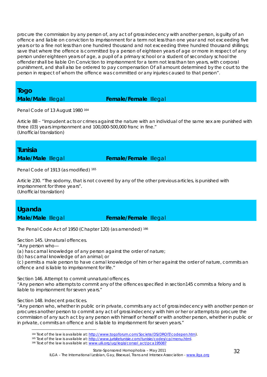procure the commission by any person of, any act of gross indecency with another person, is guilty of an offence and liable on conviction to imprisonment for a term not less than one year and not exceeding five years or to a fine not less than one hundred thousand and not exceeding three hundred thousand shillings; save that where the offence is committed by a person of eighteen years of age or more in respect of any person under eighteen years of age, a pupil of a primary school or a student of secondary school the offender shall be liable On Conviction to imprisonment for a term not less than ten years, with corporal punishment, and shall also be ordered to pay compensation Of all amount determined by the court to the person in respect of whom the offence was committed or any injuries caused to that person".

### *Togo*

### **Male/Male** Illegal **Female/Female** Illegal

Penal Code of 13 August 1980 164

Article 88 – "Impudent acts or crimes against the nature with an individual of the same sex are punished with three (03) years imprisonment and 100,000-500,000 franc in fine." (Unofficial translation)

### *Tunisia*

**Male/Male** Illegal **Female/Female** Illegal

Penal Code of 1913 (as modified) 165

Article 230. "The sodomy, that is not covered by any of the other previous articles, is punished with imprisonment for three years". (Unofficial translation)

## *Uganda*

**Male/Male Illegal <b>Female/Female** Illegal

The Penal Code Act of 1950 (Chapter 120) (as amended) 166

Section 145. Unnatural offences.

"Any person who—

<u>.</u>

(a) has carnal knowledge of any person against the order of nature;

(b) has carnal knowledge of an animal; or

(c) permits a male person to have carnal knowledge of him or her against the order of nature, commits an offence and is liable to imprisonment for life."

Section 146. Attempt to commit unnatural offences.

"Any person who attempts to commit any of the offences specified in section145 commits a felony and is liable to imprisonment for seven years."

Section 148. Indecent practices.

"Any person who, whether in public or in private, commits any act of gross indecency with another person or procures another person to commit any act of gross indecency with him or her or attempts to procure the commission of any such act by any person with himself or herself or with another person, whether in public or in private, commits an offence and is liable to imprisonment for seven years."

<sup>&</sup>lt;sup>164</sup> Text of the law is available at: http://www.togoforum.com/Societe/DS/DROIT/codepen.htm).<br><sup>165</sup> Text of the law is available at: http://www.jurisitetunisie.com/tunisie/codes/cp/menu.html.<br><sup>166</sup> Text of the law is avai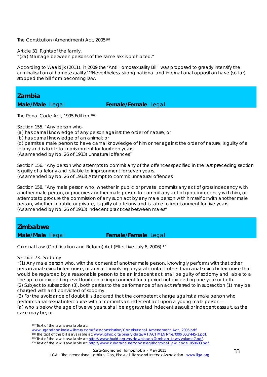The Constitution (Amendment) Act, 2005167

Article 31. Rights of the family.

"(2a) Marriage between persons of the same sex is prohibited."

According to Waaldijk (2011), in 2009 the 'Anti Homosexuality Bill' was proposed to greatly intensify the criminalisation of homosexuality.168Nevertheless, strong national and international opposition have (so far) stopped the bill from becoming law.

*Zambia* 

### **Male/Male Illegal <b>Female/Female** Legal

The Penal Code Act, 1995 Edition <sup>169</sup>

Section 155. "Any person who-

(a) has carnal knowledge of any person against the order of nature; or

(b) has carnal knowledge of an animal; or

(c) permits a male person to have carnal knowledge of him or her against the order of nature; is guilty of a felony and is liable to imprisonment for fourteen years.

(As amended by No. 26 of 1933) Unnatural offences"

Section 156. "Any person who attempts to commit any of the offences specified in the last preceding section is guilty of a felony and is liable to imprisonment for seven years. (As amended by No. 26 of 1933) Attempt to commit unnatural offences"

Section 158. "Any male person who, whether in public or private, commits any act of gross indecency with another male person, or procures another male person to commit any act of gross indecency with him, or attempts to procure the commission of any such act by any male person with himself or with another male person, whether in public or private, is guilty of a felony and is liable to imprisonment for five years. (As amended by No. 26 of 1933) Indecent practices between males"

*Zimbabwe* 

### **Male/Male Illegal <b>Female/Female** Legal

Criminal Law (Codification and Reform) Act (Effective July 8, 2006) 170

### Section 73. Sodomy

1

"(1) Any male person who, with the consent of another male person, knowingly performs with that other person anal sexual intercourse, or any act involving physical contact other than anal sexual intercourse that would be regarded by a reasonable person to be an indecent act, shall be guilty of sodomy and liable to a fine up to or exceeding level fourteen or imprisonment for a period not exceeding one year or both. (2) Subject to subsection (3), both parties to the performance of an act referred to in subsection (1) may be charged with and convicted of sodomy.

(3) For the avoidance of doubt it is declared that the competent charge against a male person who performs anal sexual intercourse with or commits an indecent act upon a young male person— (a) who is below the age of twelve years, shall be aggravated indecent assault or indecent assault, as the case may be; or

<sup>167</sup> Text of the law is available at:

www.ugandaonlinelawlibrary.com/files/constitution/Constitutional\_Amendment\_Act,\_2005.pdf

<sup>&</sup>lt;sup>168</sup> The text of the bill is available at: www.iglhrc.org/binary-data/ATTACHMENT/file/000/000/445-1.pdf.<br><sup>169</sup> Text of the law is available at: http://www.hurid.org.zm/downloads/Zambian\_Laws/volume7.pdf.<br><sup>170</sup> Text of the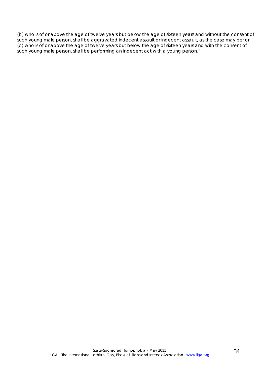(b) who is of or above the age of twelve years but below the age of sixteen years and without the consent of such young male person, shall be aggravated indecent assault or indecent assault, as the case may be; or (c) who is of or above the age of twelve years but below the age of sixteen years and with the consent of such young male person, shall be performing an indecent act with a young person."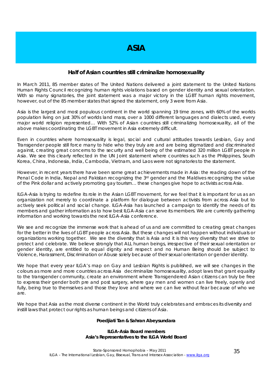### **Half of Asian countries still criminalize homosexuality**

In March 2011, 85 member states of The United Nations delivered a joint statement to the United Nations Human Rights Council recognizing human rights violations based on gender identity and sexual orientation. With so many signatories, the joint statement was a major victory in the LGBT human rights movement, however, out of the 85 member states that signed the statement, only 3 were from Asia.

Asia is the largest and most populous continent in the world spanning 19 time zones, with 60% of the worlds population living on just 30% of worlds land mass, over a 1000 different languages and dialects used, every major world religion represented… With 52% of Asian countries still criminalizing homosexuality, all of the above makes coordinating the LGBT movement in Asia extremely difficult.

Even in countries where homosexuality is legal, social and cultural attitudes towards Lesbian, Gay and Transgender people still force many to hide who they truly are and are being stigmatized and discriminated against, creating great concerns to the security and well being of the estimated 320 million LGBT people in Asia. We see this clearly reflected in the UN Joint statement where countries such as the Philippines, South Korea, China, Indonesia, India, Cambodia, Vietnam, and Laos were not signatories to the statement.

However, in recent years there have been some great achievements made in Asia: the reading down of the Penal Code in India, Nepal and Pakistan recognizing the 3<sup>rd</sup> gender and the Maldives recognizing the value of the Pink dollar and actively promoting gay tourism… these changes give hope to activists across Asia.

ILGA-Asia is trying to redefine its role in the Asian LGBT movement, for we feel that it is important for us as an organization not merely to coordinate a platform for dialogue between activists from across Asia but to actively seek political and social change. ILGA-Asia has launched a campaign to identify the needs of its members and gather information as to how best ILGA-Asia can serve its members. We are currently gathering information and working towards the next ILGA-Asia conference.

We see and recognize the immense work that is ahead of us and are committed to creating great changes for the better in the lives of LGBT people across Asia. But these changes will not happen without individuals or organizations working together. We see the diversity that is Asia and it is this very diversity that we strive to protect and celebrate. We believe strongly that ALL human beings, irrespective of their sexual orientation or gender identity, are entitled to equal dignity and respect and no Human Being should be subject to Violence, Harassment, Discrimination or Abuse solely because of their sexual orientation or gender identity.

We hope that every year ILGA's map on Gay and Lesbian Rights is published, we will see changes in the colours as more and more countries across Asia decriminalize homosexuality, adopt laws that grant equality to the transgender community, create an environment where Transgendered Asian citizens can truly be free to express their gender both pre and post surgery, where gay men and women can live freely, openly and fully, being true to themselves and those they love and where we can live without fear because of who we are.

We hope that Asia as the most diverse continent in the World truly celebrates and embraces its diversity and instill laws that protect our rights as human beings and citizens of Asia.

#### **Poedjiati Tan & Sahran Abeysundara**

#### **ILGA-Asia Board members Asia's Representatives to the ILGA World Board**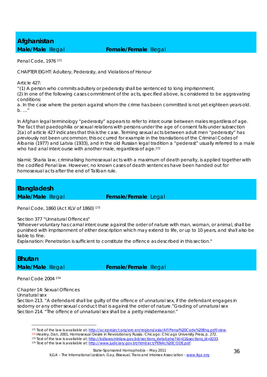# *Afghanistan*

### **Male/Male** Illegal **Female/Female** Illegal

Penal Code, 1976 171

CHAPTER EIGHT: Adultery, Pederasty, and Violations of Honour

Article 427:

"(1) A person who commits adultery or pederasty shall be sentenced to long imprisonment.

(2) In one of the following cases commitment of the acts, specified above, is considered to be aggravating conditions:

a. In the case where the person against whom the crime has been committed is not yet eighteen years old. b. …"

In Afghan legal terminology "pederasty" appears to refer to intercourse between males regardless of age. The fact that paedophilia or sexual relations with persons under the age of consent falls under subsection 2(a) of article 427 indicates that this is the case. Terming sexual acts between adult men "pederasty" has previously not been uncommon; this occurred for example in the translations of the Criminal Codes of Albania (1977) and Latvia (1933), and in the old Russian legal tradition a "pederast" usually referred to a male who had anal intercourse with another male, regardless of age.<sup>172</sup>

Islamic Sharia law, criminalising homosexual acts with a maximum of death penalty, is applied together with the codified Penal law. However, no known cases of death sentences have been handed out for homosexual acts after the end of Taliban rule.

## *Bangladesh*

**Male/Male** Illegal **Female/Female** Legal

Penal Code, 1860 (Act XLV of 1860) 173

Section 377 "Unnatural Offences"

"Whoever voluntary has carnal intercourse against the order of nature with man, woman, or animal, shall be punished with imprisonment of either description which may extend to life, or up to 10 years, and shall also be liable to fine.

Explanation: Penetration is sufficient to constitute the offence as described in this section."

*Bhutan* 

**Male/Male Illegal <b>Female/Female** Illegal

Penal Code 2004 174

1

Chapter 14: Sexual Offences Unnatural sex

Section 213. "A defendant shall be guilty of the offence of unnatural sex, if the defendant engages in sodomy or any other sexual conduct that is against the order of nature."Grading of unnatural sex Section 214. "The offence of unnatural sex shall be a petty misdemeanor."

<sup>&</sup>lt;sup>171</sup> Text of the law is available at: http://aceproject.org/ero-en/regions/asia/AF/Penal%20Code%20Eng.pdf/view.<br><sup>172</sup> Healey, Dan, 2001, Homosexual Desire in Revolutionary Russia. Chicago: Chicago University Press, p. 272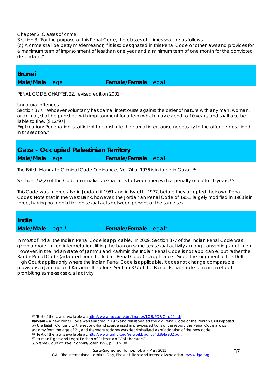#### Chapter 2: Classes of crime

Section 3. "For the purpose of this Penal Code, the classes of crimes shall be as follows:

(c) A crime shall be petty misdemeanor, if it is so designated in this Penal Code or other laws and provides for a maximum term of imprisonment of less than one year and a minimum term of one month for the convicted defendant."

### *Brunei*

**Male/Male** Illegal **Female/Female** Legal

PENAL CODE, CHAPTER 22, revised edition 2001175

Unnatural offences.

Section 377. "Whoever voluntarily has carnal intercourse against the order of nature with any man, woman, or animal, shall be punished with imprisonment for a term which may extend to 10 years, and shall also be liable to fine. [S 12/97]

Explanation: Penetration is sufficient to constitute the carnal intercourse necessary to the offence described in this section."

### *Gaza - Occupied Palestinian Territory*  **Male/Male** Illegal **Female/Female** Legal

The British Mandate Criminal Code Ordinance, No. 74 of 1936 is in force in Gaza.176

Section 152(2) of the Code criminalizes sexual acts between men with a penalty of up to 10 years.177

This Code was in force also in Jordan till 1951 and in Israel till 1977, before they adopted their own Penal Codes. Note that in the West Bank, however, the Jordanian Penal Code of 1951, largely modified in 1960 is in force, having no prohibition on sexual acts between persons of the same sex.

### *India*

1

### **Male/Male** Illegal\* **Female/Female** Legal\*

In most of India, the Indian Penal Code is applicable. In 2009, Section 377 of the Indian Penal Code was given a more limited interpretation, lifting the ban on same-sex sexual activity among consenting adult men. However, in the Indian state of Jammu and Kashmir, the Indian Penal Code is not applicable, but rather the Ranbir Penal Code (adapted from the Indian Penal Code) is applicable. Since the judgment of the Delhi High Court applies only where the Indian Penal Code is applicable, it does not change comparable provisions in Jammu and Kashmir. Therefore, Section 377 of the Ranbir Penal Code remains in effect, prohibiting same-sex sexual activity.

Supreme Court of Israel. Schmitt/Sofer, 1992, p. 137-138.

<sup>175</sup> Text of the law is available at: http://www.agc.gov.bn/images/LOB/PDF/Cap22.pdf.

**Bahrain** – A new Penal Code was enacted in 1976 and this repealed the old Penal Code of the Persian Gulf imposed by the British. Contrary to the second-hand source used in previous editions of the report, the Penal Code allows sodomy from the age of 21, and therefore sodomy was decriminalised as of adoption of the new code. 176 Text of the law is available at: http://www.unhcr.org/refworld/pdfid/4d384ae32.pdf. 177 Human Rights and Legal Position of Palestinian "Collaborators".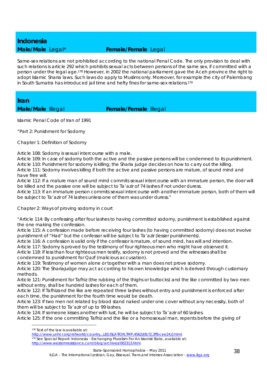## *Indonesia*

### **Male/Male** Legal\* **Female/Female** Legal

Same-sex relations are not prohibited according to the national Penal Code. The only provision to deal with such relations is article 292 which prohibits sexual acts between persons of the same sex, if committed with a person under the legal age.178 However, in 2002 the national parliament gave the Aceh province the right to adopt Islamic Sharia laws. Such laws do apply to Muslims only. Moreover, for example the city of Palembang in South Sumatra has introduced jail time and hefty fines for same-sex relations.179

*Iran* 

**Male/Male Illegal <b>Female/Female** Illegal

Islamic Penal Code of Iran of 1991

"Part 2: Punishment for Sodomy

Chapter 1: Definition of Sodomy

Article 108: Sodomy is sexual intercourse with a male.

Article 109: In case of sodomy both the active and the passive persons will be condemned to its punishment. Article 110: Punishment for sodomy is killing; the Sharia judge decides on how to carry out the killing.

Article 111: Sodomy involves killing if both the active and passive persons are mature, of sound mind and have free will.

Article 112: If a mature man of sound mind commits sexual intercourse with an immature person, the doer will be killed and the passive one will be subject to Ta'azir of 74 lashes if not under duress.

Article 113: If an immature person commits sexual intercourse with another immature person, both of them will be subject to Ta'azir of 74 lashes unless one of them was under duress."

Chapter 2: Ways of proving sodomy in court

"Article 114: By confessing after four lashes to having committed sodomy, punishment is established against the one making the confession.

Article 115: A confession made before receiving four lashes (to having committed sodomy) does not involve punishment of "Had" but the confessor will be subject to Ta'azir (lesser punishments).

Article 116: A confession is valid only if the confessor is mature, of sound mind, has will and intention.

Article 117: Sodomy is proved by the testimony of four righteous men who might have observed it.

Article 118: If less than four righteous men testify, sodomy is not proved and the witnesses shall be condemned to punishment for Qazf (malicious accusation).

Article 119: Testimony of women alone or together with a man does not prove sodomy.

Article 120: The Shariajudge may act according to his own knowledge which is derived through customary methods.

Article 121: Punishment for Tafhiz (the rubbing of the thighs or buttocks) and the like committed by two men without entry, shall be hundred lashes for each of them.

Article 122: If Tafhizand the like are repeated three lashes without entry and punishment is enforced after each time, the punishment for the fourth time would be death.

Article 123: If two men not related by blood stand naked under one cover without any necessity, both of them will be subject to Ta'azir of up to 99 lashes.

Article 124: If someone kisses another with lust, he will be subject to Ta'azir of 60 lashes.

Article 125: If the one committing Tafhiz and the like or a homosexual man, repents before the giving of

1

ILGA – The International Lesbian, Gay, Bisexual, Trans and Intersex Association - www.ilga.org

<sup>178</sup> Text of the law is available at:

http://www.unhcr.org/refworld/country,,,LEGISLATION,TMP,4562d8cf2,3ffbcee24,0.html.<br><sup>179</sup> See Special Report: Indonesia - Exchanging Pluralism For An Islamist State, available at:

http://www.westernresistance.com/blog/archives/002313.html.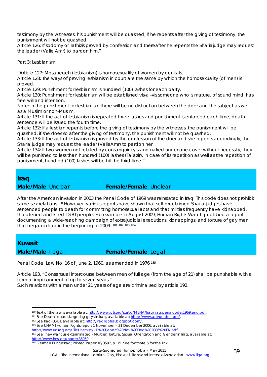testimony by the witnesses, his punishment will be quashed; if he repents after the giving of testimony, the punishment will not be quashed.

Article 126: If sodomy or Tafhizis proved by confession and thereafter he repents the Shariajudge may request the leader (Valie Amr) to pardon him."

Part 3: Lesbianism

"Article 127: Mosaheqeh (lesbianism) is homosexuality of women by genitals.

Article 128: The ways of proving lesbianism in court are the same by which the homosexuality (of men) is proved.

Article 129: Punishment for lesbianism is hundred (100) lashes for each party.

Article 130: Punishment for lesbianism will be established vis-a -vis someone who is mature, of sound mind, has free will and intention.

Note: In the punishment for lesbianism there will be no distinction between the doer and the subject as well as a Muslim or non-Muslim.

Article 131: If the act of lesbianism is repeated three lashes and punishment is enforced each time, death sentence will be issued the fourth time.

Article 132: If a lesbian repents before the giving of testimony by the witnesses, the punishment will be quashed; if she does so after the giving of testimony, the punishment will not be quashed.

Article 133: If the act of lesbianism is proved by the confession of the doer and she repents accordingly, the Sharia judge may request the leader (ValieAmr) to pardon her.

Article 134: If two women not related by consanguinity stand naked under one cover without necessity, they will be punished to less than hundred (100) lashes (Ta'azir). In case of its repetition as well as the repetition of punishment, hundred (100) lashes will be hit the third time."

### *Iraq*

**Male/Male** Unclear **Female/Female** Unclear

After the American invasion in 2003 the Penal Code of 1969 was reinstated in Iraq. This code does not prohibit same-sex relations.180 However, various reports have shown that self-proclaimed Sharia judges have sentenced people to death for committing homosexual acts and that militias frequently have kidnapped, threatened and killed LGBT people. For example in August 2009, Human Rights Watch published a report documenting a wide-reaching campaign of extrajudicial executions, kidnappings, and torture of gay men that began in Iraq in the beginning of 2009. 181 <sup>182</sup> <sup>183</sup> <sup>184</sup>

### *Kuwait*

<u>.</u>

### **Male/Male Illegal <b>Female/Female** Legal

Penal Code, Law No. 16 of June 2, 1960, as amended in 1976 185

Article 193. "Consensual intercourse between men of full age (from the age of 21) shall be punishable with a term of imprisonment of up to seven years."

Such relations with a man under 21 years of age are criminalised by article 192.

183 See UNAMI Human Rights report 1 November – 31 December 2006, available at:

<sup>&</sup>lt;sup>180</sup> Text of the law is available at: <u>http://www.ictj.org/static/MENA/Iraq/iraq.penalcode.1969.eng.pdf</u>.<br><sup>181</sup> See Death squads targeting g<mark>ays in Iraq, available at: <u>http://www.advocate.com/</u>.<br><sup>182</sup> See Iraqi LGBT, ava</mark>

http://www.uniraq.org/FileLib/misc/HR%20Report%20Nov%20Dec%202006%20EN.pdf.

<sup>184</sup> See They want us exterminated - Murder, Torture, Sexual Orientation and Gender in Iraq, available at:

http://www.hrw.org/node/85050.<br><sup>185</sup> German Bundestag; Printed Paper 16/3597, p. 15. See footnote 5 for the link.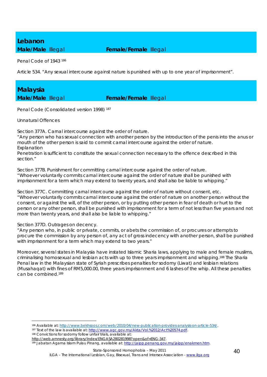## *Lebanon*

**Male/Male Illegal <b>Female/Female** Illegal

Penal Code of 1943 186

Article 534. "Any sexual intercourse against nature is punished with up to one year of imprisonment".

### *Malaysia*

### **Male/Male** Illegal **Female/Female** Illegal

Penal Code (Consolidated version 1998) 187

Unnatural Offences

Section 377A. Carnal intercourse against the order of nature.

"Any person who has sexual connection with another person by the introduction of the penis into the anus or mouth of the other person is said to commit carnal intercourse against the order of nature. *Explanation*

Penetration is sufficient to constitute the sexual connection necessary to the offence described in this section."

Section 377B. Punishment for committing carnal intercourse against the order of nature. "Whoever voluntarily commits carnal intercourse against the order of nature shall be punished with imprisonment for a term which may extend to twenty years, and shall also be liable to whipping."

Section 377C. Committing carnal intercourse against the order of nature without consent, etc. "Whoever voluntarily commits carnal intercourse against the order of nature on another person without the consent, or against the will, of the other person, or by putting other person in fear of death or hurt to the person or any other person, shall be punished with imprisonment for a term of not less than five years and not more than twenty years, and shall also be liable to whipping."

Section 377D. Outrages on decency.

1

"Any person who, in public or private, commits, or abets the commission of, or procures or attempts to procure the commission by any person of, any act of gross indecency with another person, shall be punished with imprisonment for a term which may extend to two years."

Moreover, several states in Malaysia have instated Islamic Sharia laws, applying to male and female muslims, criminalising homosexual and lesbian acts with up to three years imprisonment and whipping.188 The Sharia Penal law in the Malaysian state of Syriah prescribes penalties for sodomy (Liwat) and lesbian relations (Musahaqat) with fines of RM5,000.00, three years imprisonment and 6 lashes of the whip. All these penalties can be combined.189

<sup>&</sup>lt;sup>186</sup> Available at: <u>http://www.bekhsoos.com/web/2010/04/new-publication-provides-analysis-on-article-534/</u><br><sup>187</sup> Text of the law is available at: <u>http://www.agc.gov.my/Akta/Vol.%2012/Act%20574.pdf</u>.<br><sup>188</sup> Convictions for

http://web.amnesty.org/library/Index/ENGASA280281998?open&of=ENG-347.<br><sup>189</sup> Jabatan Agama Islam Pulau Pinang, available at: http://jaipp.penang.gov.my/jaipp/enakmen.htm.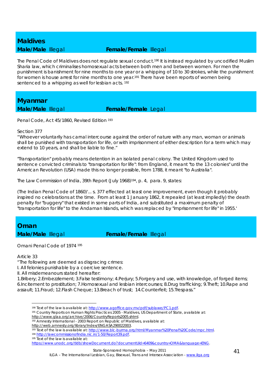# *Maldives*

### **Male/Male Illegal <b>Female/Female** Illegal

The Penal Code of Maldives does not regulate sexual conduct.<sup>190</sup> It is instead regulated by uncodified Muslim Sharia law, which criminalises homosexual acts between both men and between women. For men the punishment is banishment for nine months to one year or a whipping of 10 to 30 strokes, while the punishment for women is house arrest for nine months to one year.<sup>191</sup> There have been reports of women being sentenced to a whipping as well for lesbian acts. 192

*Myanmar* 

**Male/Male** Illegal **Female/Female** Legal

Penal Code, Act 45/1860, Revised Edition 193

#### Section 377

"Whoever voluntarily has carnal intercourse against the order of nature with any man, woman or animals shall be punished with transportation for life, or with imprisonment of either description for a term which may extend to 10 years, and shall be liable to fine."

"Transportation" probably means detention in an isolated penal colony. The United Kingdom used to sentence convicted criminals to "transportation for life": from England, it meant "to the 13 colonies" until the American Revolution (USA) made this no longer possible, from 1788, it meant "to Australia".

The Law Commission of India, 39th Report (July 1968)194, p. 4, para. 9, states:

(The Indian Penal Code of 1860)'... s. 377 effected at least one improvement, even though it probably inspired no celebrations at the time. From at least 1 January 1862, it repealed (at least impliedly) the death penalty for "buggery" that existed in some parts of India, and substituted a maximum penalty of "transportation for life" to the Andaman Islands, which was replaced by "imprisonment for life" in 1955.'

### *Oman*

**Male/Male Illegal <b>Female/Female** Illegal

Omani Penal Code of 1974 195

Article 33

<u>.</u>

"The following are deemed as disgracing crimes:

I. All felonies punishable by a coercive sentence.

II. All misdemeanours stated hereafter:

1.Bribery; 2.Embezzlement; 3.False testimony; 4.Perjury; 5.Forgery and use, with knowledge, of forged items; 6.Incitement to prostitution; 7.Homosexual and lesbian intercourses; 8.Drug trafficking; 9.Theft; 10.Rape and assault; 11.Fraud; 12.Flash Cheque; 13.Breach of trust; 14.Counterfeit; 15.Trespass."

<sup>190</sup> Text of the law is available at: http://www.agoffice.gov.mv/pdf/sublawe/PC1.pdf.<br>191 Country Reports on Human Rights Practices 2005 - Maldives, US Department of State, available at:

http://www.glaa.org/archive/2006/CountryReports2005.shtml.<br><sup>192</sup> Amnesty International - 2003 Report on Republic of Maldives, available at:

http://web.amnesty.org/library/Index/ENGASA290022003.<br><sup>193</sup> Text of the law is available at: http://www.blc-burma.org/html/Myanmar%20Penal%20Code/mpc.html.<br><sup>194</sup> http://lawcommissionofindia.nic.in/1-50/Report39.pdf.

<sup>195</sup> Text of the law is available at:

https://www.unodc.org/tldb/showDocument.do?documentUid=6409&country=OMA&language=ENG.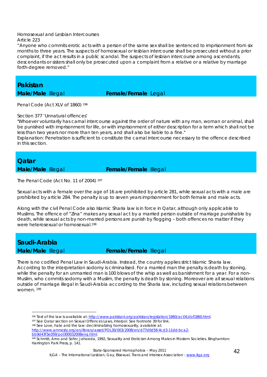#### Homosexual and Lesbian Intercourses Article 223

"Anyone who commits erotic acts with a person of the same sex shall be sentenced to imprisonment from six months to three years. The suspects of homosexual or lesbian intercourse shall be prosecuted without a prior complaint, if the act results in a public scandal. The suspects of lesbian intercourse among ascendants, descendants or sisters shall only be prosecuted upon a complaint from a relative or a relative by marriage forth-degree removed."

*Pakistan* 

**Male/Male** Illegal **Female/Female** Legal

Penal Code (Act XLV of 1860)<sup>196</sup>

Section 377 'Unnatural offences'

"Whoever voluntarily has carnal intercourse against the order of nature with any man, woman or animal, shall be punished with imprisonment for life, or with imprisonment of either description for a term which shall not be less than two years nor more than ten years, and shall also be liable to a fine."

Explanation: Penetration is sufficient to constitute the carnal intercourse necessary to the offence described in this section.

### *Qatar*

**Male/Male** Illegal **Female/Female** Illegal

The Penal Code (Act No. 11 of 2004) 197

Sexual acts with a female over the age of 16 are prohibited by article 281, while sexual acts with a male are prohibited by article 284. The penalty is up to seven years imprisonment for both female and male acts.

Along with the civil Penal Code also Islamic Sharia law is in force in Qatar, although only applicable to Muslims. The offence of "Zina" makes any sexual act by a married person outside of marriage punishable by death, while sexual acts by non-married persons are punish by flogging – both offences no matter if they were heterosexual or homosexual.198

### *Saudi-Arabia*

1

**Male/Male** Illegal **Female/Female** Illegal

There is no codified Penal Law in Saudi-Arabia. Instead, the country applies strict Islamic Sharia law. According to the interpretation sodomy is criminalised. For a married man the penalty is death by stoning, while the penalty for an unmarried man is 100 blows of the whip as well as banishment for a year. For a non-Muslim, who commits sodomy with a Muslim, the penalty is death by stoning. Moreover are all sexual relations outside of marriage illegal in Saudi-Arabia according to the Sharia law, including sexual relations between women. 199

<sup>&</sup>lt;sup>196</sup> Text of the law is available at: http://www.pakistani.org/pakistan/legislation/1860/actXLVof1860.html.<br><sup>197</sup> See Qatar section on Sexual Offences Laws, Interpol. See footnote 39 for link.<br><sup>198</sup> See Love, hate and the

http://www.amnesty.org/en/library/asset/POL30/003/2008/en/d77d0d58-4cd3-11dd-bca2 bb9d43f3e059/pol300032008eng.html.<br><sup>199</sup> Schmitt, Arno and Sofer, Jehoeda, 1992, Sexuality and Eroticism Among Males in Moslem Societies. Binghamton:

Harrington Park Press, p. 141.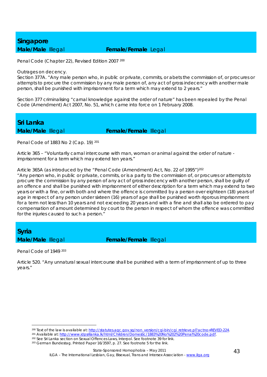## *Singapore*

### **Male/Male** Illegal **Female/Female** Legal

Penal Code (Chapter 22), Revised Edition 2007 200

#### Outrages on decency.

Section 377A. "Any male person who, in public or private, commits, or abets the commission of, or procures or attempts to procure the commission by any male person of, any act of gross indecency with another male person, shall be punished with imprisonment for a term which may extend to 2 years."

Section 377 criminalising "carnal knowledge against the order of nature" has been repealed by the Penal Code (Amendment) Act 2007, No. 51, which came into force on 1 February 2008.

*Sri Lanka* 

**Male/Male Illegal <b>Female/Female** Illegal

Penal Code of 1883 No 2 (Cap. 19) 201

Article 365 – "Voluntarily carnal intercourse with man, woman or animal against the order of nature imprisonment for a term which may extend ten years."

Article 365A (as introduced by the "Penal Code (Amendment) Act, No. 22 of 1995")202

"Any person who, in public or private, commits, or is a party to the commission of, or procures or attempts to procure the commission by any person of any act of gross indecency with another person, shall be guilty of an offence and shall be punished with imprisonment of either description for a term which may extend to two years or with a fine, or with both and where the offence is committed by a person over eighteen (18) years of age in respect of any person under sixteen (16) years of age shall be punished worth rigorous imprisonment for a term not less than 10 years and not exceeding 20 years and with a fine and shall also be ordered to pay compensation of amount determined by court to the person in respect of whom the offence was committed for the injuries caused to such a person."

*Syria* 

**Male/Male** Illegal **Female/Female** Illegal

Penal Code of 1949 203

1

Article 520. "Any unnatural sexual intercourse shall be punished with a term of imprisonment of up to three years."

<sup>&</sup>lt;sup>200</sup> Text of the law is available at: <u>http://statutes.agc.gov.sg/non\_version/cgi-bin/cgi\_retrieve.pl?actno=REVED-224.</u><br><sup>201</sup> Available at: <u>http://www.idpsrilanka.lk/html/Children/Domestic/1883%20No%202%20Penal%20code.pd</u>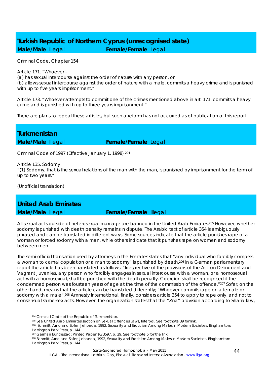### *Turkish Republic of Northern Cyprus (unrecognised state)*  **Male/Male Illegal <b>Female/Female** Legal

Criminal Code, Chapter 154

Article 171. "Whoever – (a) has sexual intercourse against the order of nature with any person, or

(b) allows sexual intercourse against the order of nature with a male, commits a heavy crime and is punished with up to five years imprisonment."

Article 173. "Whoever attempts to commit one of the crimes mentioned above in art. 171, commits a heavy crime and is punished with up to three years imprisonment."

There are plans to repeal these articles, but such a reform has not occurred as of publication of this report.

*Turkmenistan* 

**Male/Male Illegal <b>Female/Female** Legal

Criminal Code of 1997 (Effective January 1, 1998) 204

Article 135. Sodomy

"(1) Sodomy, that is the sexual relations of the man with the man, is punished by imprisonment for the term of up to two years."

(Unofficial translation)

### *United Arab Emirates*

1

**Male/Male Illegal <b>Female/Female** Illegal

All sexual acts outside of heterosexual marriage are banned in the United Arab Emirates.205 However, whether sodomy is punished with death penalty remains in dispute. The Arabic text of article 354 is ambiguously phrased and can be translated in different ways. Some sources indicate that the article punishes rape of a woman or forced sodomy with a man, while others indicate that it punishes rape on women and sodomy between men.

The semi-official translation used by attorneys in the Emirates states that "any individual who forcibly compels a woman to carnal copulation or a man to sodomy" is punished by death.206 In a German parliamentary report the article has been translated as follows: "Irrespective of the provisions of the Act on Delinquent and Vagrant Juveniles, any person who forcibly engages in sexual intercourse with a woman, or a homosexual act with a homosexual, shall be punished with the death penalty. Coercion shall be recognised if the condemned person was fourteen years of age at the time of the commission of the offence."207 Sofer, on the other hand, means that the article can be translated differently; "Whoever commits rape on a female or sodomy with a male".208 Amnesty International, finally, considers article 354 to apply to rape only, and not to consensual same-sex acts. However, the organization states that the "Zina" provision according to Sharia law,

<sup>204</sup> Criminal Code of the Republic of Turkmenistan.<br><sup>205</sup> See United Arab Eminates section on Sexual Offences Laws, Interpol. See footnote 39 for link.<br><sup>206</sup> Schmitt, Arno and Sofer, Jehoeda, 1992, Sexuality and Eroticism Harrington Park Press, p. 144.

ILGA - The International Lesbian, Gay, Bisexual, Trans and Intersex Association - www.ilga.org

<sup>&</sup>lt;sup>207</sup> German Bundestag; Printed Paper 16/3597, p. 29. See footnote 5 for the link.<br><sup>208</sup> Schmitt, Arno and Sofer, Jehoeda, 1992, Sexuality and Eroticism Among Males in Moslem Societies. Binghamton: Harrington Park Press, p. 144.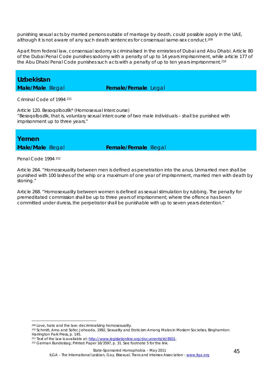punishing sexual acts by married persons outside of marriage by death, could possible apply in the UAE, although it is not aware of any such death sentences for consensual same-sex conduct.209

Apart from federal law, consensual sodomy is criminalised in the emirates of Dubai and Abu Dhabi. Article 80 of the Dubai Penal Code punishes sodomy with a penalty of up to 14 years imprisonment, while article 177 of the Abu Dhabi Penal Code punishes such acts with a penalty of up to ten years imprisonment.210

### *Uzbekistan*

**Male/Male** Illegal **Female/Female** Legal

Criminal Code of 1994 <sup>211</sup>

Article 120. Besoqolbozlik\* (Homosexual Intercourse) "Besoqolbozlik, that is, voluntary sexual intercourse of two male individuals – shall be punished with imprisonment up to three years."

*Yemen* 

**Male/Male** Illegal **Female/Female** Illegal

Penal Code 1994 212

1

Article 264. "Homosexuality between men is defined as penetration into the anus. Unmarried men shall be punished with 100 lashes of the whip or a maximum of one year of imprisonment, married men with death by stoning."

Article 268. "Homosexuality between women is defined as sexual stimulation by rubbing. The penalty for premeditated commission shall be up to three years of imprisonment; where the offence has been committed under duress, the perpetrator shall be punishable with up to seven years detention."

<sup>&</sup>lt;sup>209</sup> Love, hate and the law: decriminalizing homosexuality.<br><sup>210</sup> Schmitt, Arno and Sofer, Jehoeda, 1992, Sexuality and Eroticism Among Males in Moslem Societies. Binghamton: Harrington Park Press, p. 145.<br><sup>211</sup> Text of the law is available at: http://www.legislationline.org/documents/id/8931.

<sup>&</sup>lt;sup>212</sup> German Bundestag; Printed Paper 16/3597, p. 31. See footnote 5 for the link.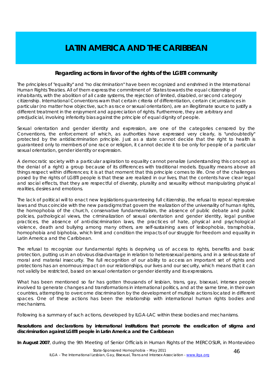### **LATIN AMERICA AND THE CARIBBEAN**

### **Regarding actions in favor of the rights of the LGBTI community**

The principles of "equality" and "no discrimination" have been recognized and enshrined in the International Human Rights Treaties. All of them express the commitment of States towards the equal citizenship of inhabitants, with the abolition of all caste systems, the rejection of limited, disabled, or second category citizenship. International Conventions warn that certain criteria of differentiation, certain circumstances in particular (no matter how objective, such as race or sexual orientation), are an illegitimate source to justify a different treatment in the enjoyment and appreciation of rights. Furthermore, they are arbitrary and predjudicial, involving inferiority bias against the principle of equal dignity of people.

Sexual orientation and gender identity and expression, are one of the categories censored by the Conventions, the enforcement of which, as authorities have expressed very clearly, is "undoubtedly" protected by the antidiscrimination principle. Just as a state cannot decide that the right to health is guaranteed only to members of one race or religion, it cannot decide it to be only for people of a particular sexual orientation, gender identity or expression.

A democratic society with a particular aspiration to equality cannot penalize (understanding this concept as the denial of a right) a group because of its differences with traditional models. Equality means above all things respect within differences; it is at that moment that this principle comes to life. One of the challenges posed by the rights of LGBTI people is that these are realized in our lives, that the contents have clear legal and social effects, that they are respectful of diversity, plurality and sexuality without manipulating physical realities, desires and emotions.

The lack of political will to enact new legislations guaranteeing full citizenship, the refusal to repeal repressive laws and thus coincide with the new paradigms that govern the realization of the universality of human rights, the homophobia of the church, conservative fundamentalism, the absence of public debate and public policies, pathological views, the criminalization of sexual orientation and gender identity, legal punitive practices, the absence of anti-discrimination laws, the practices of hate, physical and psychological violence, death and bullying among many others, are self-sustaining axes of lesbophobia, transphobia, homophobia and biphobia, which limit and condition the impacts of our struggle for freedom and equality in Latin America and the Caribbean.

The refusal to recognize our fundamental rights is depriving us of access to rights, benefits and basic protection, putting us in an obvious disadvantage in relation to heterosexual persons, and in a serious state of moral and material insecurity. The full recognition of our ability to access an important set of rights and protections has an enormous impact on our relationships, our lives and our security, which means that it can not validly be restricted, based on sexual orientation or gender identity and its expressions.

What has been mentioned so far has gotten thousands of lesbian, trans, gay, bisexual, intersex people involved to generate changes and transformations in international politics, and at the same time, in their own countries, attempting to overcome discrimination by the development of multiple actions located in different spaces. One of these actions has been the relationship with international human rights bodies and mechanisms.

Following is a summary of such actions, developed by ILGA-LAC within these bodies and mechanisms.

**Resolutions and declarations by international institutions that promote the eradication of stigma and discrimination against LGBTI people in Latin America and the Caribbean** 

**In August 2007**, during the 9th Meeting of Senior Officials in Human Rights of the MERCOSUR, in Montevideo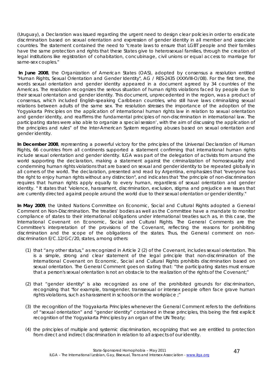(Uruguay), a Declaration was issued regarding the urgent need to design clear policies in order to eradicate discrimination based on sexual orientation and expression of gender identity in all member and associate countries. The statement contained the need to "create laws to ensure that LGBT people and their families have the same protection and rights that these States give to heterosexual families, through the creation of legal institutions like registration of cohabitation, concubinage, civil unions or equal access to marriage for same-sex couples."

 **In June 2008**, the Organization of American States (OAS), adopted by consensus a resolution entitled "Human Rights, Sexual Orientation and Gender Identity", AG / RES-2435 (XXXVIII-O/08). For the first time, the words sexual orientation and gender identity appeared in a document agreed by 34 countries of the Americas. The resolution recognizes the serious situation of human rights violations faced by people due to their sexual orientation and gender identity. This document, unprecedented in the region, was a product of consensus, which included English-speaking Caribbean countries, who still have laws criminalizing sexual relations between adults of the same sex. The resolution stresses the importance of the adoption of the Yogyakarta Principles on the application of international human rights law in relation to sexual orientation and gender identity, and reaffirms the fundamental principles of non-discrimination in international law. The participating states were also able to organize a special session', with the aim of discussing the application of the principles and rules" of the Inter-American System regarding abuses based on sexual orientation and gender identity.

**In December 2008**, representing a powerful victory for the principles of the Universal Declaration of Human Rights, 66 countries from all continents supported a statement confirming that international human rights include sexual orientation and gender identity. ILGA was part of the delegation of activists from around the world supporting the declaration, making a statement against the criminalization of homosexuality and condemning human rights violations that are based on sexual and gender identity to be repeated globally in all corners of the world. The declaration, presented and read by Argentina, emphasizes that "everyone has the right to enjoy human rights without any distinction", and indicates that "the principle of non-discrimination requires that human rights apply equally to every human, regardless of sexual orientation and gender identity. " It states that "violence, harassment, discrimination, exclusion, stigma and prejudice are issues that are currently directed against people around the world due to their sexual orientation or gender identity."

In May 2009, the United Nations Committee on Economic, Social and Cultural Rights adopted a General Comment on Non-Discrimination. The treaties' bodies as well as the Committee have a mandate to monitor compliance of states to their international obligations under international treaties such as, in this case, the International Covenant on Economic, Social and Cultural Rights. The General Comments are the Committee's interpretation of the provisions of the Covenant, reflecting the reasons for prohibiting discrimination and the scope of the obligations of the states. Thus, the General comment on nondiscrimination E/C.12/GC/20, states, among others:

- (1) that "any other status," as recognized in Article 2 (2) of the Covenant, includes sexual orientation. This is a simple, strong and clear statement of the legal principle that non-discrimination of the International Covenant on Economic, Social and Cultural Rights prohibits discrimination based on sexual orientation. The General Comment goes on stating that: "the participating states must ensure that a person's sexual orientation is not an obstacle to the realization of the rights of the Covenant;"
- (2) that "gender identity" is also recognized as one of the prohibited grounds for discrimination, recognizing that "for example, transgender, transsexual or intersex people often face grave human rights violations, such as harassment in schools or in the workplace ;"
- (3) the recognition of the Yogyakarta Principles whenever the General Comment refers to the definitions of "sexual orientation" and "gender identity" contained in these principles, this being the first explicit recognition of the Yogyakarta Principles by an organ of the UN Treaty;
- (4) the principles of multiple and systemic discrimination, recognizing that we are entitled to protection from direct and indirect discrimination in relation to all aspects of our identity.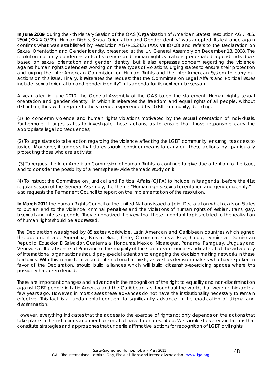**In June 2009**, during the 4th Plenary Session of the OAS (Organization of American States), resolution AG / RES. 2504 (XXXIX-O/09) "Human Rights, Sexual Orientation and Gender Identity" was adopted. Its text once again confirms what was established by Resolution AG/RES.2435 (XXX VII IO/08) and refers to the Declaration on Sexual Orientation and Gender Identity, presented at the UN General Assembly on December 18, 2008. The resolution not only condemns acts of violence and human rights violations perpetrated against individuals based on sexual orientation and gender identity, but it also expresses concern regarding the violence against human rights defenders working on these types of violations, urging states to ensure their protection and urging the Inter-American Commission on Human Rights and the Inter-American System to carry out actions on this issue. Finally, it reiterates the request that the Committee on Legal Affairs and Political issues include "sexual orientation and gender identity" in its agenda for its next regular session.

A year later, in June 2010, the General Assembly of the OAS issued the statement "Human rights, sexual orientation and gender identity," in which it reiterates the freedom and equal rights of all people, without distinction, thus, with regards to the violence experienced by LGBTI community, deciding:

(1) To condemn violence and human rights violations motivated by the sexual orientation of individuals. Furthermore, it urges states to investigate these actions, as to ensure that those responsible carry the appropriate legal consequences;

(2) To urge states to take action regarding the violence affecting the LGBTI community, ensuring its access to justice. Moreover, it suggests that states should consider means to carry out these actions, by particularly protecting those who are activists;

 (3) To request the Inter-American Commission of Human Rights to continue to give due attention to the issue, and to consider the possibility of a hemisphere-wide thematic study on it.

(4) To instruct the Committee on Juridical and Political Affairs (CJPA) to include in its agenda, before the 41st regular session of the General Assembly, the theme "Human rights, sexual orientation and gender identity." It also requests the Permanent Council to report on the implementation of the resolution.

In March 2011 the Human Rights Council of the United Nations issued a Joint Declaration which calls on States to put an end to the violence, criminal penalties and the violations of human rights of lesbian, trans, gay, bisexual and intersex people. They emphasized the view that these important topics related to the realization of human rights should be addressed.

The Declaration was signed by 85 states worldwide. Latin American and Caribbean countries which signed this document are: Argentina, Bolivia, Brazil, Chile, Colombia, Costa Rica, Cuba, Dominica, Dominican Republic, Ecuador, El Salvador, Guatemala, Honduras, Mexico, Nicaragua, Panama, Paraguay, Uruguay and Venezuela. The absence of Peru and of the majority of the Caribbean countries indicates that the advocacy of international organizations should pay special attention to engaging the decision making networks in these territories. With this in mind, local and international activists, as well as decision-makers who have spoken in favor of the Declaration, should build alliances which will build citizenship-exercicing spaces where this possibility has been denied.

There are important changes and advances in the recognition of the right to equality and non-discrimination against LGBTI people in Latin America and the Caribbean, as throughout the world, that were unthinkable a few years ago. However, in most cases these advances do not have the institutionality necessary to remain effective. This fact is a fundamental concern to significantly advance in the eradication of stigma and discrimination.

However, everything indicates that the access to the exercise of rights not only depends on the actions that take place in the institutions and mechanisms that have been described. We should stress certain factors that constitute strategies and approaches that underlie affirmative actions for recognition of LGBTI civil rights.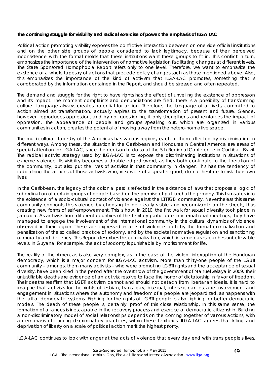#### **The continuing struggle for visibility and radical exercise of power: the emphasis of ILGA LAC**

Political action promoting visibility exposes the conflictive interaction between on one side official institutions and on the other side groups of people considered to lack legitimacy, because of their perceived inconsistence with the formal molds that these institutions want these groups to fit in. This conflict in turn, emphasizes the importance of the intervention of normative legislation facilitating changes at different levels. The State Sponsored Homophobia Report refers only to one level. Therefore, we want to emphasize the existence of a whole tapestry of actions that precede policy changes such as those mentioned above. Also, this emphasizes the importance of the kind of activism that ILGA-LAC promotes, something that is corroborated by the information contained in the Report, and should be stressed and often repeated.

The demand and struggle for the right to have rights has the effect of unveiling the existence of oppression and its impact. The moment complaints and denunciations are filed, there is a possibility of transforming culture. Language always creates potential for action. Therefore, the language of activists, committed to action aimed at transformation, actually aspires to the transformation of present and future. Silence, however, reproduces oppression, and by not questioning, it only strengthens and reinforces the impact of oppression. The appearance of people and groups speaking out, which are organized in various communities in action, creates the potential of moving away from the hetero-normative space.

The multi-cultural tapestry of the Americas has various regions, each of them affected by discrimination in different ways. Among these, the situation in the Caribbean and Honduras in Central America are areas of special attention for ILGA-LAC, since the decision to do so at the 5th Regional Conference in Curitiba - Brazil. The radical activist strategy used by ILGA-LAC is to expose the discriminating institutions in situations of extreme violence. Its visibility becomes a double-edged sword, as they both contribute to the liberation of the community, but also put the lives of activists in that community in danger. This has the tendency of radicalizing the actions of those activists who, in service of a greater good, do not hesitate to risk their own lives.

In the Caribbean, the legacy of the colonial past is reflected in the existence of laws that propose a logic of subordination of certain groups of people based on the premise of patriarchal hegemony. This translates into the existence of a socio-cultural context of violence against the LTTTGBI community. Nevertheless this same community confronts this violence by choosing to be clearly visible and recognizable on the streets, thus creating new forms of self-empowerment. This is how, in 2010, the first walk for sexual diversity took place in Jamaica. As activists from different countries of the territory participate in international meetings, they have managed to engage the involvement of the international community in the cultural dynamics of violence observed in their region. These are expressed in acts of violence both by the formal criminalization and penalization of the so called practice of sodomy, and by the societal normative regulation and sanctioning of morality and decency. This Report describes this criminalization, which in some cases reaches unbelievable levels. In Guyana, for example, the act of sodomy is punishable by imprisonment for life.

The reality of the Americas is also very complex, as in the case of the violent interruption of the Honduran democracy, which is a major concern for ILGA-LAC activism. More than thirty-one people of the LGBTI community – amongst them many activists – who were promoting LGBTI rights and the acceptance of sexual diversity, have been killed in the period after the overthrow of the government of Manuel Zelaya in 2009. Their unjustifiable deaths are evidence of an activist resolve to face the horror of dictatorship in favor of freedom. Their deaths reaffirm that LGBTI activism cannot and should not detach from libertarian ideals. It is hard to imagine that activists for the rights of lesbian, trans, gay, bisexual, intersex, can escape involvement and engagement in situations where the autonomy and freedom of a people are jeopardized, as happens with the fall of democratic systems. Fighting for the rights of LGBTI people is also fighting for better democratic models. The death of these people is, certainly, proof of this close relationship. In this same sense, the formation of alliances is inescapable in the recovery process and exercise of democratic citizenship. Building a non-discriminatory model of social relationships depends on the coming together of various actions, with an emphasis of curbing discriminatory practices, within these territories. ILGA-LAC agrees that killing and deprivation of liberty on a scale of political action merit the highest priority.

ILGA-LAC continues to look with anger at the acts of violence that every day end with trans people's lives.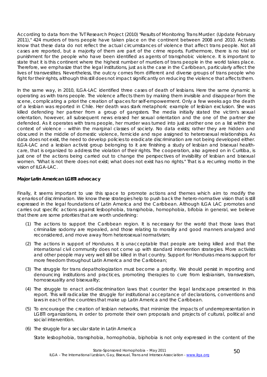According to data from the TvT Research Project (2010) "Results of Monitoring Trans Murder: (Update February 2011)," 424 murders of trans people have taken place on the continent between 2008 and 2010. Activists know that these data do not reflect the actual circumstances of violence that affect trans people. Not all cases are reported, but a majority of them are part of the crime reports. Furthermore, there is no trial or punishment for the people who have been identified as agents of transphobic violence. It is important to state that it is this continent where the highest number of murders of trans people in the world takes place. Therefore, we emphasize that the legal institutions, just as is the case in the Caribbean, particularly affect the lives of transvestites. Nevertheless, the outcry comes from different and diverse groups of trans people who fight for their rights, although this still does not impact significantly on reducing the violence that affects them.

In the same way, in 2010, ILGA-LAC identified three cases of death of lesbians. Here the same dynamic is operating as with trans people. The violence affects them by making them invisible and disappear from the scene, complicating a priori the creation of spaces for self-empowerment. Only a few weeks ago the death of a lesbian was reported in Chile. Her death was stark metaphoric example of lesbian exclusion. She was killed defending her partner from a group of gangsters. The media initially stated the victim's sexual orientation, however, all subsequent news erased her sexual orientation and the one of the partner she defended. As it operates with trans people, her murder was turned into just another one on a list within the context of violence – within the marginal classes of society. No data exists; rather they are hidden and obscured in the middle of domestic violence, femicide and rape assigned to heterosexual relationships. As data does not exist, the need to develop policies to eradicate discrimination are not being developed either. ILGA-LAC and a lesbian activist group belonging to it are finishing a study of lesbian and bisexual healthcare, that is organized to address the violation of their rights. The cooperation, also agreed on in Curitiba, is just one of the actions being carried out to change the perspectives of invisibility of lesbian and bisexual women. "What is not there does not exist; what does not exist has no rights." That is a recurring motto in the vision of ILGA-LAC.

#### **Major Latin American LGBTI advocacy**

Finally, it seems important to use this space to promote actions and themes which aim to modify the scenarios of discrimination. We know these strategies help to push back the hetero-normative vision that is still expressed in the legal foundations of Latin America and the Caribbean. Although ILGA LAC promotes and carries out specific actions against lesbophobia, transphobia, homophobia, bifobia in general, we believe that there are some priorities that are worth underlining:

- (1) The actions to support the Caribbean region. It is necessary for the world that those laws that criminalize sodomy are repealed, and those relating to morality and good manners analyzed and reconsidered, and move away from heterosexual normativism;
- (2) The actions in support of Honduras. It is unacceptable that people are being killed and that the international civil community does not come up with standard intervention strategies. More activists and other people may very well still be killed in that country. Support for Honduras means support for more freedom throughout Latin America and the Caribbean;
- (3) The struggle for trans depathologization must become a priority. We should persist in reporting and denouncing institutions and practices, promoting therapies to cure from lesbianism, transvestism, homosexuality and bisexuality;
- (4) The struggle to enact anti-discrimination laws that counter the legal landscape presented in this report. This will radicalize the struggle for institutional acceptance of declarations, conventions and laws in each of the countries that make up Latin America and the Caribbean.
- (5) To encourage the creation of lesbian networks, that minimize the impacts of underrepresentation in LGBTI organizations, in order to promote their own proposals and projects of cultural, political and social intervention.
- (6) The struggle for a secular state in Latin America

State lesbophobia, transphobia, homophobia, biphobia is not only expressed in the content of the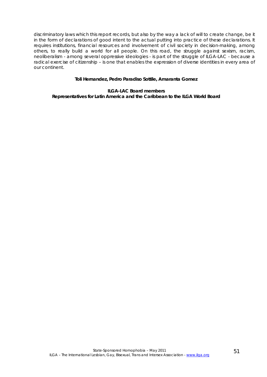discriminatory laws which this report records, but also by the way a lack of will to create change, be it in the form of declarations of good intent to the actual putting into practice of these declarations. It requires institutions, financial resources and involvement of civil society in decision-making, among others, to really build a world for all people. On this road, the struggle against sexism, racism, neoliberalism - among several oppressive ideologies - is part of the struggle of ILGA-LAC - because a radical exercise of citizenship – is one that enables the expression of diverse identities in every area of our continent.

#### **Toli Hernandez, Pedro Paradiso Sottile, Amaranta Gomez**

**ILGA-LAC Board members Representatives for Latin America and the Caribbean to the ILGA World Board**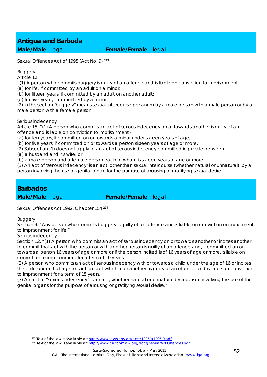Sexual Offences Act of 1995 (Act No. 9) 213

#### Buggery

Article 12.

"(1) A person who commits buggery is guilty of an offence and is liable on conviction to imprisonment -

(a) for life, if committed by an adult on a minor;

(b) for fifteen years, if committed by an adult on another adult;

(c) for five years, if committed by a minor.

(2) In this section "buggery" means sexual intercourse per anum by a male person with a male person or by a male person with a female person."

#### Serious indecency

Article 15. "(1) A person who commits an act of serious indecency on or towards another is guilty of an offence and is liable on conviction to imprisonment -

(a) for ten years, if committed on or towards a minor under sixteen years of age;

(b) for five years, if committed on or towards a person sixteen years of age or more,

(2) Subsection (1) does not apply to an act of serious indecency committed in private between -

(a) a husband and his wife; or

(b) a male person and a female person each of whom is sixteen years of age or more;

(3) An act of "serious indecency" is an act, other than sexual intercourse (whether natural or unnatural), by a person involving the use of genital organ for the purpose of arousing or gratifying sexual desire."

### *Barbados*

**Male/Male Illegal <b>Female/Female** Illegal

Sexual Offences Act 1992, Chapter 154 214

#### **Buggery**

Section 9. "Any person who commits buggery is guilty of an offence and is liable on conviction on indictment to imprisonment for life."

Serious indecency

Section 12. "(1) A person who commits an act of serious indecency on or towards another or incites another to commit that act with the person or with another person is guilty of an offence and, if committed on or towards a person 16 years of age or more or if the person incited is of 16 years of age or more, is liable on conviction to imprisonment for a term of 10 years.

(2) A person who commits an act of serious indecency with or towards a child under the age of 16 or incites the child under that age to such an act with him or another, is guilty of an offence and is liable on conviction to imprisonment for a term of 15 years.

(3) An act of "serious indecency" is an act, whether natural or unnatural by a person involving the use of the genital organs for the purpose of arousing or gratifying sexual desire."

<sup>1</sup> 

<sup>&</sup>lt;sup>213</sup> Text of the law is available at: http://www.laws.gov.ag/acts/1995/a1995-9.pdf.<br><sup>214</sup> Text of the law is available at: http://www.caricomlaw.org/docs/Sexual%20Offences.pdf.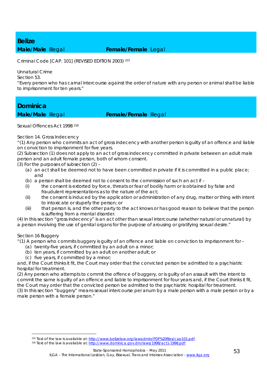# *Belize*

### **Male/Male** Illegal **Female/Female** Legal

Criminal Code [CAP. 101] (REVISED EDITION 2003) 215

Unnatural Crime

Section 53.

"Every person who has carnal intercourse against the order of nature with any person or animal shall be liable to imprisonment for ten years."

### *Dominica*

### **Male/Male** Illegal **Female/Female** Illegal

Sexual Offences Act 1998 216

### Section 14. Gross Indecency

"(1) Any person who commits an act of gross indecency with another person is guilty of an offence and liable on conviction to imprisonment for five years.

(2) Subsection (1) does not apply to an act of gross indecency committed in private between an adult male person and an adult female person, both of whom consent.

(3) For the purposes of subsection (2) –

- (a) an act shall be deemed not to have been committed in private if it is committed in a public place; and
- (b) a person shall be deemed not to consent to the commission of such an act if –
- (i) the consent is extorted by force, threats or fear of bodily harm or is obtained by false and fraudulent representations as to the nature of the act;
- (ii) the consent is induced by the application or administration of any drug, matter or thing with intent to intoxicate or stupefy the person; or
- (iii) that person is, and the other party to the act knows or has good reason to believe that the person is suffering from a mental disorder.

(4) In this section "gross indecency" is an act other than sexual intercourse (whether natural or unnatural) by a person involving the use of genital organs for the purpose of arousing or gratifying sexual desire."

### Section 16 Buggery

1

"(1) A person who commits buggery is guilty of an offence and liable on conviction to imprisonment for –

- (a) twenty-five years, if committed by an adult on a minor;
- (b) ten years, if committed by an adult on another adult; or
- (c) five years, if committed by a minor;

and, if the Court thinks it fit, the Court may order that the convicted person be admitted to a psychiatric hospital for treatment.

(2) Any person who attempts to commit the offence of buggery, or is guilty of an assault with the intent to commit the same is guilty of an offence and liable to imprisonment for four years and, if the Court thinks it fit, the Court may order that the convicted person be admitted to the psychiatric hospital for treatment. (3) In this section "buggery" means sexual intercourse per anum by a male person with a male person or by a

male person with a female person."

<sup>&</sup>lt;sup>215</sup> Text of the law is available at: http://www.belizelaw.org/lawadmin/PDF%20files/cap101.pdf. <sup>216</sup> Text of the law is available at: http://www.dominica.gov.dm/laws/1998/act1-1998.pdf.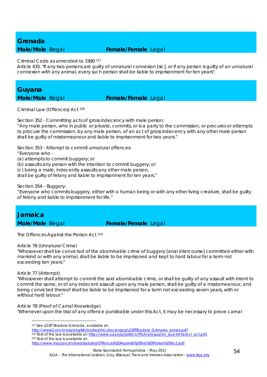### *Grenada*

### **Male/Male** Illegal **Female/Female** Legal

Criminal Code as amended to 1990 217

Article 435. "If any two persons are guilty of unnatural connexion [sic], or if any person is guilty of an unnatural connexion with any animal, every such person shall be liable to imprisonment for ten years".

### *Guyana*

### **Male/Male Illegal <b>Female/Female** Legal

Criminal Law (Offences) Act 218

Section 352 - Committing acts of gross indecency with male person:

"Any male person, who in public or private, commits, or is a party to the commission, or procures or attempts to procure the commission, by any male person, of an act of gross indecency with any other male person shall be guilty of misdemeanour and liable to imprisonment for two years."

Section 353 - Attempt to commit unnatural offences:

"Everyone who -

(a) attempts to commit buggery; or

(b) assaults any person with the intention to commit buggery; or

(c) being a male, indecently assaults any other male person,

shall be guilty of felony and liable to imprisonment for ten years."

Section 354 – Buggery:

"Everyone who commits buggery, either with a human being or with any other living creature, shall be guilty of felony and liable to imprisonment for life."

### *Jamaica*

### **Male/Male Illegal <b>Female/Female** Legal

The Offences Against the Person Act 219

### Article 76 (Unnatural Crime)

"Whosoever shall be convicted of the abominable crime of buggery [anal intercourse] committed either with mankind or with any animal, shall be liable to be imprisoned and kept to hard labour for a term not exceeding ten years."

#### Article 77 (Attempt)

1

"Whosoever shall attempt to commit the said abominable crime, or shall be guilty of any assault with intent to commit the same, or of any indecent assault upon any male person, shall be guilty of a misdemeanour, and being convicted thereof shall be liable to be imprisoned for a term not exceeding seven years, with or without hard labour."

Article 78 (Proof of Carnal Knowledge)

"Whenever upon the trial of any offence punishable under this Act, it may be necessary to prove carnal

<sup>217</sup> See LGBT Shadow Grenada, available at:

http://www2.ohchr.org/english/bodies/hrc/docs/ngos/LGBTShadow\_Grenada\_annex.pdf. <sup>218</sup> Text of the law is available at: http://www.oas.org/juridico/MLA/en/guy/en\_guy-int-text-cl\_act.pdf. <sup>219</sup> Text of the law is available

http://www.moj.gov.jm/laws/statutes/Offences%20Against%20the%20Person%20Act.pdf.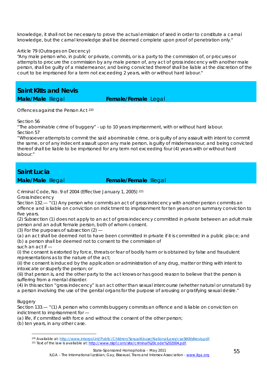knowledge, it shall not be necessary to prove the actual emission of seed in order to constitute a carnal knowledge, but the carnal knowledge shall be deemed complete upon proof of penetration only."

#### Article 79 (Outrages on Decency)

"Any male person who, in public or private, commits, or is a party to the commission of, or procures or attempts to procure the commission by any male person of, any act of gross indecency with another male person, shall be guilty of a misdemeanor, and being convicted thereof shall be liable at the discretion of the court to be imprisoned for a term not exceeding 2 years, with or without hard labour."

*Saint Kitts and Nevis* 

**Male/Male** Illegal **Female/Female** Legal

Offences against the Person Act 220

Section 56

"The abominable crime of buggery" - up to 10 years imprisonment, with or without hard labour. Section 57

"Whosoever attempts to commit the said abominable crime, or is guilty of any assault with intent to commit the same, or of any indecent assault upon any male person, is guilty of misdemeanour, and being convicted thereof shall be liable to be imprisoned for any term not exceeding four (4) years with or without hard labour."

### *Saint Lucia*

**Male/Male Illegal <b>Female/Female** Illegal

Criminal Code, No. 9 of 2004 (Effective January 1, 2005) 221

Gross Indecency

Section 132.— "(1) Any person who commits an act of gross indecency with another person commits an offence and is liable on conviction on indictment to imprisonment for ten years or on summary conviction to five years.

(2) Subsection (1) does not apply to an act of gross indecency committed in private between an adult male person and an adult female person, both of whom consent.

(3) For the purposes of subsection (2) —

(*a*) an act shall be deemed not to have been committed in private if it is committed in a public place; and (*b*) a person shall be deemed not to consent to the commission of

such an act if —

(i) the consent is extorted by force, threats or fear of bodily harm or is obtained by false and fraudulent representations as to the nature of the act;

(ii) the consent is induced by the application or administration of any drug, matter or thing with intent to intoxicate or stupefy the person; or

(iii) that person is, and the other party to the act knows or has good reason to believe that the person is suffering from a mental disorder.

(4) In this section "gross indecency" is an act other than sexual intercourse (whether natural or unnatural) by a person involving the use of the genital organs for the purpose of arousing or gratifying sexual desire."

### **Buggery**

Section 133.— "(1) A person who commits buggery commits an offence and is liable on conviction on indictment to imprisonment for —

(*a*) life, if committed with force and without the consent of the other person;

(*b*) ten years, in any other case.

<sup>1</sup> <sup>220</sup> Available at: http://www.interpol.int/Public/Children/SexualAbuse/NationalLaws/csaStKittsNevis.pdf.<br><sup>221</sup> Text of the law is available at: http://www.rslpf.com/site/criminal%20code%202004.pdf.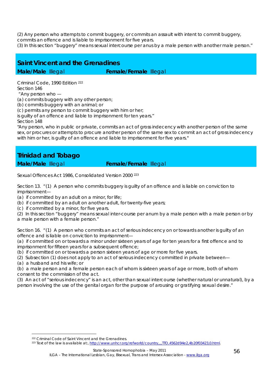(2) Any person who attempts to commit buggery, or commits an assault with intent to commit buggery, commits an offence and is liable to imprisonment for five years.

(3) In this section "buggery" means sexual intercourse per anus by a male person with another male person."

### *Saint Vincent and the Grenadines*  **Male/Male Illegal <b>Female/Female** Illegal

Criminal Code, 1990 Edition 222 Section 146

"Any person who —

(a) commits buggery with any other person;

(b) commits buggery with an animal; or

(c) permits any person to commit buggery with him or her;

is guilty of an offence and liable to imprisonment for ten years." Section 148

"Any person, who in public or private, commits an act of gross indecency with another person of the same sex, or procures or attempts to procure another person of the same sex to commit an act of gross indecency with him or her, is guilty of an offence and liable to imprisonment for five years."

### *Trinidad and Tobago*

### **Male/Male Illegal <b>Female/Female** Illegal

Sexual Offences Act 1986, Consolidated Version 2000 223

Section 13. "(1) A person who commits buggery is guilty of an offence and is liable on conviction to imprisonment—

(a) if committed by an adult on a minor, for life;

(b) if committed by an adult on another adult, for twenty-five years;

(c) if committed by a minor, for five years.

(2) In this section "buggery" means sexual inter-course per anum by a male person with a male person or by a male person with a female person."

Section 16. "(1) A person who commits an act of serious indecency on or towards another is guilty of an offence and is liable on conviction to imprisonment—

(a) if committed on or towards a minor under sixteen years of age for ten years for a first offence and to imprisonment for fifteen years for a subsequent offence;

(b) if committed on or towards a person sixteen years of age or more for five years.

(2) Subsection (1) does not apply to an act of serious indecency committed in private between—

(a) a husband and his wife; or

1

(b) a male person and a female person each of whom is sixteen years of age or more, both of whom consent to the commission of the act.

(3) An act of "serious indecency" is an act, other than sexual intercourse (whether natural or unnatural), by a person involving the use of the genital organ for the purpose of arousing or gratifying sexual desire."

<sup>&</sup>lt;sup>222</sup> Criminal Code of Saint Vincent and the Grenadines.<br><sup>223</sup> Text of the law is available at:, http://www.unhcr.org/refworld/country,,,,TTO,4562d94e2,4b20f03423,0.html.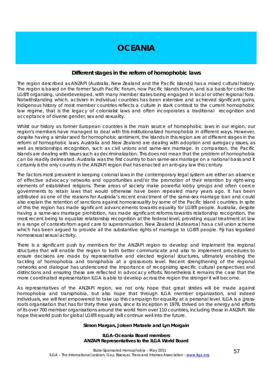### **OCEANIA**

### **Different stages in the reform of homophobic laws**

The region described as ANZAPI (Australia, New Zealand and the Pacific Islands) has a mixed cultural history. The region is based on the former South Pacific Forum, now Pacific Islands Forum, and is a basis for collective LGBTI organizing, underdeveloped, with many member states being engaged in local or other regional fora. Notwithstanding which, activism in individual countries has been extensive and achieved significant gains. Indigenous history of most member countries reflects a culture in stark contrast to the current homophobic law regime, that is the legacy of colonialist laws and often incorporates a traditional recognition and acceptance of diverse gender, sex and sexuality.

Whilst our history as former European countries is the main source of homophobic laws in our region, our region's members have managed to deal with this institutionalized homophobia in different ways. However, despite having a similar seed for homophobic sentiment, the islands in this region are at different stages in the reform of homophobic laws. Australia and New Zealand are dealing with adoption and surrogacy issues, as well as relationships recognition, such as civil unions and same-sex marriage. In comparison, the Pacific Islands are dealing with issues such as decriminalization. This does not mean that the problem of homophobia can be readily delineated. Australia was the first country to ban same-sex marriage on a national basis and it certainly is the only country in the ANZAPI region that has enacted an anti-gay law this century.

The factors most prevalent in keeping colonial laws in the contemporary legal system are either an absence of effective advocacy networks and opportunities and/or the promotion of their retention by right-wing elements of established religions. These areas of society make powerful lobby groups and often coerce governments to retain laws that would otherwise have been repealed many years ago. It has been attributed as one of the reasons for Australia's recent enactment of the same-sex marriage ban and could also explain the retention of sanctions against homosexuality by some of the Pacific Island countries. In spite of this the region has made significant advancements towards equality for LGBTI people. Australia, despite having a same-sex marriage prohibition, has made significant reforms towards relationship recognition, the most recent being to equalize relationship recognition at the federal level, providing equal treatment at law in a range of contexts from aged care to superannuation. New Zealand (Aotearoa) has a civil union scheme which has been argued to provide all the substantive rights of marriage to LGBTI people. Fiji has legalized homosexual sexual activity.

There is a significant push by members for the ANZAPI region to develop and implement the regional structures that will enable the region to both better communicate and also to implement procedures to ensure decisions are made by representative and elected regional structures, ultimately enabling the tackling of homophobia and transphobia at a grass-roots level. Recent strengthening of the regional networks and dialogue has underscored the importance of recognizing specific cultural perspectives and distinctions and ensuring these are reflected in advocacy efforts. Nonetheless it remains the case that the more coordinated representation ILGA is able to develop across the region the stronger it will become.

As representatives of the ANZAPI region, we not only hope that great strides will be made against homophobia and transphobia, but also hope that through ILGA member organization, and indeed individuals, we will feel empowered to take up this campaign for equality at a personal level. ILGA is a grassroots organisation that has for thirty three years, since its inception in 1978, thrived on the energy and efforts of its over 700 member organisations around the world from over 110 countries, including those in ANZAPI. We hope this world push for global LGBTI equality will continue well into the future.

#### **Simon Margan, Joleen Mataele and Lyn Morgain**

#### **ILGA-Oceania Board members ANZAPI Representatives to the ILGA World Board**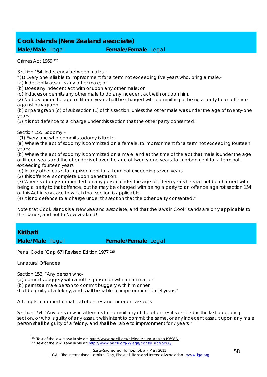### *Cook Islands (New Zealand associate)*  **Male/Male Illegal <b>Female/Female** Legal

Crimes Act 1969 224

Section 154. Indecency between males –

"(1) Every one is liable to imprisonment for a term not exceeding five years who, bring a male,-

(a) Indecently assaults any other male; or

(b) Does any indecent act with or upon any other male; or

(c) Induces or permits any other male to do any indecent act with or upon him.

(2) No boy under the age of fifteen years shall be charged with committing or being a party to an offence against paragraph

(b) or paragraph (c) of subsection (1) of this section, unless the other male was under the age of twenty-one years.

(3) It is not defence to a charge under this section that the other party consented."

Section 155. Sodomy –

"(1) Every one who commits sodomy is liable-

(a) Where the act of sodomy is committed on a female, to imprisonment for a term not exceeding fourteen years;

(b) Where the act of sodomy is committed on a male, and at the time of the act that male is under the age of fifteen years and the offender is of over the age of twenty-one years, to imprisonment for a term not exceeding fourteen years;

(c) In any other case, to imprisonment for a term not exceeding seven years.

(2) This offence is complete upon penetration.

(3) Where sodomy is committed on any person under the age of fifteen years he shall not be charged with being a party to that offence, but he may be charged with being a party to an offence against section 154 of this Act in say case to which that section is applicable.

(4) It is no defence to a charge under this section that the other party consented."

Note that Cook Islands is a New Zealand associate, and that the laws in Cook Islands are only applicable to the islands, and not to New Zealand!

### *Kiribati*

**Male/Male Illegal <b>Female/Female** Legal

Penal Code [Cap 67] Revised Edition 1977 225

Unnatural Offences

Section 153. "Any person who-

(a) commits buggery with another person or with an animal; or

(b) permits a male person to commit buggery with him or her,

shall be guilty of a felony, and shall be liable to imprisonment for 14 years."

Attempts to commit unnatural offences and indecent assaults

Section 154. "Any person who attempts to commit any of the offences it specified in the last preceding section, or who is guilty of any assault with intent to commit the same, or any indecent assault upon any male person shall be guilty of a felony, and shall be liable to imprisonment for 7 years."

<sup>1</sup> <sup>224</sup> Text of the law is available at:, http://www.paclii.org/ck/legis/num\_act/ca196982/.<br><sup>225</sup> Text of the law is available at: http://www.paclii.org/ki/legis/consol\_act/pc66/.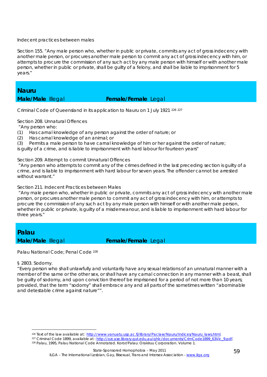#### Indecent practices between males

Section 155. "Any male person who, whether in public or private, commits any act of gross indecency with another male person, or procures another male person to commit any act of gross indecency with him, or attempts to procure the commission of any such act by any male person with himself or with another male person, whether in public or private, shall be guilty of a felony, and shall be liable to imprisonment for 5 years."

### *Nauru*

### **Male/Male** Illegal **Female/Female** Legal

Criminal Code of Queensland in its application to Nauru on 1 July 1921 226 <sup>227</sup>

Section 208. Unnatural Offences

"Any person who:

- (1) Has carnal knowledge of any person against the order of nature; or
- (2) Has carnal knowledge of an animal; or
- (3) Permits a male person to have carnal knowledge of him or her against the order of nature;

is guilty of a crime, and is liable to imprisonment with hard labour for fourteen years"

Section 209. Attempt to commit Unnatural Offences

 "Any person who attempts to commit any of the crimes defined in the last preceding section is guilty of a crime, and is liable to imprisonment with hard labour for seven years. The offender cannot be arrested without warrant."

Section 211. Indecent Practices between Males

 "Any male person who, whether in public or private, commits any act of gross indecency with another male person, or procures another male person to commit any act of gross indecency with him, or attempts to procure the commission of any such act by any male person with himself or with another male person, whether in public or private, is guilty of a misdemeanour, and is liable to imprisonment with hard labour for three years."

*Palau* 

**Male/Male Illegal <b>Female/Female** Legal

Palau National Code; Penal Code 228

§ 2803. Sodomy.

<u>.</u>

"Every person who shall unlawfully and voluntarily have any sexual relations of an unnatural manner with a member of the same or the other sex, or shall have any carnal connection in any manner with a beast, shall be guilty of sodomy, and upon conviction thereof be imprisoned for a period of not more than 10 years; provided, that the term "sodomy" shall embrace any and all parts of the sometimes written "abominable and detestable crime against nature"".

<sup>&</sup>lt;sup>226</sup> Text of the law available at: http://www.vanuatu.usp.ac.fj/library/Paclaw/Nauru/Indices/Nauru laws.html.<br><sup>227</sup> Criminal Code 1899, available at: http://ozcase.library.qut.edu.au/qhlc/documents/CrimCode1899\_63Vic\_9.pd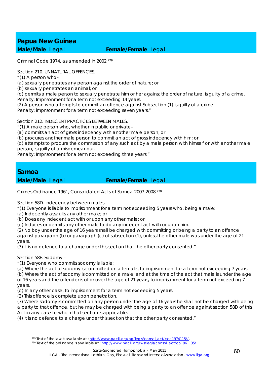### *Papua New Guinea*  **Male/Male** Illegal **Female/Female** Legal

Criminal Code 1974, as amended in 2002 <sup>229</sup>

Section 210. UNNATURAL OFFENCES

"(1) A person who–

(*a*) sexually penetrates any person against the order of nature; or

(*b*) sexually penetrates an animal; or

(*c*) permits a male person to sexually penetrate him or her against the order of nature, is guilty of a crime. Penalty: Imprisonment for a term not exceeding 14 years.

(2) A person who attempts to commit an offence against Subsection (1) is guilty of a crime.

Penalty: imprisonment for a term not exceeding seven years."

Section 212. INDECENT PRACTICES BETWEEN MAI FS.

"(1) A male person who, whether in public or private–

(*a*) commits an act of gross indecency with another male person; or

(*b*) procures another male person to commit an act of gross indecency with him; or

(*c*) attempts to procure the commission of any such act by a male person with himself or with another male person, is guilty of a misdemeanour.

Penalty: Imprisonment for a term not exceeding three years."

### *Samoa*

**Male/Male** Illegal **Female/Female** Legal

Crimes Ordinance 1961, Consolidated Acts of Samoa 2007-2008 230

Section 58D. Indecency between males –

"(1) Everyone is liable to imprisonment for a term not exceeding 5 years who, being a male:

- (a) Indecently assaults any other male; or
- (b) Does any indecent act with or upon any other male; or

(c) Induces or permits any other male to do any indecent act with or upon him.

(2) No boy under the age of 16 years shall be charged with committing or being a party to an offence against paragraph (b) or paragraph (c) of subsection (1), unless the other male was under the age of 21 years.

(3) It is no defence to a charge under this section that the other party consented."

Section 58E. Sodomy –

1

"(1) Everyone who commits sodomy is liable:

(a) Where the act of sodomy is committed on a female, to imprisonment for a term not exceeding 7 years.

(b) Where the act of sodomy is committed on a male, and at the time of the act that male is under the age of 16 years and the offender is of or over the age of 21 years, to imprisonment for a term not exceeding 7 years.

(c) In any other case, to imprisonment for a term not exceeding 5 years.

(2) This offence is complete upon penetration.

(3) Where sodomy is committed on any person under the age of 16 years he shall not be charged with being a party to that offence, but he may be charged with being a party to an offence against section 58D of this Act in any case to which that section is applicable.

(4) It is no defence to a charge under this section that the other party consented."

<sup>&</sup>lt;sup>229</sup> Text of the law is available at : http://www.paclii.org/pg/legis/consol\_act/cca1974115//.<br><sup>230</sup> Text of the ordinance is available at : http://www.paclii.org/ws/legis/consol\_act/co1961135/.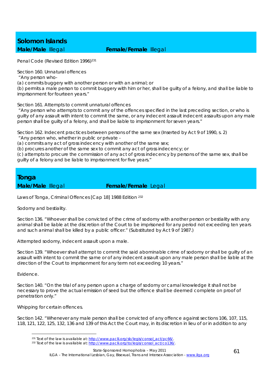# *Solomon Islands*

### **Male/Male** Illegal **Female/Female** Illegal

Penal Code (Revised Edition 1996)<sup>231</sup>

Section 160. Unnatural offences

"Any person who-

(a) commits buggery with another person or with an animal; or

(b) permits a male person to commit buggery with him or her, shall be guilty of a felony, and shall be liable to imprisonment for fourteen years."

Section 161. Attempts to commit unnatural offences

 "Any person who attempts to commit any of the offences specified in the last preceding section, or who is guilty of any assault with intent to commit the same, or any indecent assault indecent assaults upon any male person shall be guilty of a felony, and shall be liable to imprisonment for seven years."

Section 162. Indecent practices between persons of the same sex (Inserted by Act 9 of 1990, s. 2)

"Any person who, whether in public or private -

(a) commits any act of gross indecency with another of the same sex;

(b) procures another of the same sex to commit any act of gross indecency; or

(c) attempts to procure the commission of any act of gross indecency by persons of the same sex, shall be guilty of a felony and be liable to imprisonment for five years."

### *Tonga*

**Male/Male Illegal <b>Female/Female** Legal

Laws of Tonga, Criminal Offences [Cap 18] 1988 Edition 232

Sodomy and bestiality.

Section 136. "Whoever shall be convicted of the crime of sodomy with another person or bestiality with any animal shall be liable at the discretion of the Court to be imprisoned for any period not exceeding ten years and such animal shall be killed by a public officer." (Substituted by Act 9 of 1987.)

Attempted sodomy, indecent assault upon a male.

Section 139. "Whoever shall attempt to commit the said abominable crime of sodomy or shall be guilty of an assault with intent to commit the same or of any indecent assault upon any male person shall be liable at the direction of the Court to imprisonment for any term not exceeding 10 years."

Evidence.

1

Section 140. "On the trial of any person upon a charge of sodomy or carnal knowledge it shall not be necessary to prove the actual emission of seed but the offence shall be deemed complete on proof of penetration only."

Whipping for certain offences.

Section 142. "Whenever any male person shall be convicted of any offence against sections 106, 107, 115, 118, 121, 122, 125, 132, 136 and 139 of this Act the Court may, in its discretion in lieu of or in addition to any

<sup>&</sup>lt;sup>231</sup> Text of the law is available at: http://www.paclii.org/sb/legis/consol\_act/pc66/.<br><sup>232</sup> Text of the law is available at: http://www.paclii.org/to/legis/consol\_act/co136/.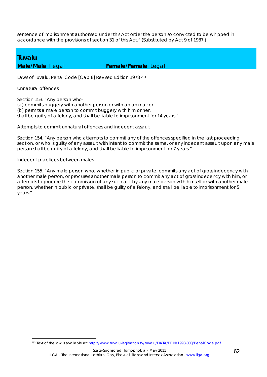sentence of imprisonment authorised under this Act order the person so convicted to be whipped in accordance with the provisions of section 31 of this Act." (Substituted by Act 9 of 1987.)

### *Tuvalu*

### **Male/Male** Illegal **Female/Female** Legal

Laws of Tuvalu, Penal Code [Cap 8] Revised Edition 1978 233

Unnatural offences

1

Section 153. "Any person who-

(a) commits buggery with another person or with an animal; or (b) permits a male person to commit buggery with him or her, shall be guilty of a felony, and shall be liable to imprisonment for 14 years."

#### Attempts to commit unnatural offences and indecent assault

Section 154. "Any person who attempts to commit any of the offences specified in the last proceeding section, or who is guilty of any assault with intent to commit the same, or any indecent assault upon any male person shall be guilty of a felony, and shall be liable to imprisonment for 7 years."

#### Indecent practices between males

Section 155. "Any male person who, whether in public or private, commits any act of gross indecency with another male person, or procures another male person to commit any act of gross indecency with him, or attempts to procure the commission of any such act by any male person with himself or with another male person, whether in public or private, shall be guilty of a felony, and shall be liable to imprisonment for 5 years."

<sup>233</sup> Text of the law is available at: http://www.tuvalu-legislation.tv/tuvalu/DATA/PRIN/1990-008/PenalCode.pdf.